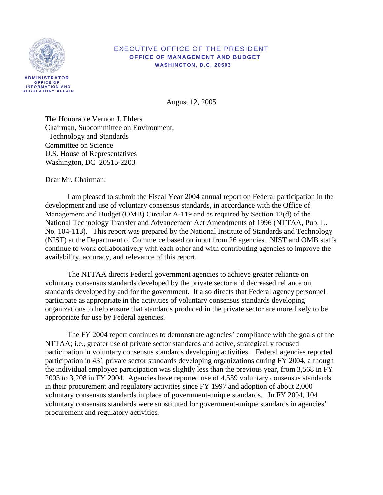

### EXECUTIVE OFFICE OF THE PRESIDENT  **OFFICE OF MANAGEMENT AND BUDGET WASHINGTON, D.C. 20503**

August 12, 2005

The Honorable Vernon J. Ehlers Chairman, Subcommittee on Environment, Technology and Standards Committee on Science U.S. House of Representatives Washington, DC 20515-2203

Dear Mr. Chairman:

 I am pleased to submit the Fiscal Year 2004 annual report on Federal participation in the development and use of voluntary consensus standards, in accordance with the Office of Management and Budget (OMB) Circular A-119 and as required by Section 12(d) of the National Technology Transfer and Advancement Act Amendments of 1996 (NTTAA, Pub. L. No. 104-113). This report was prepared by the National Institute of Standards and Technology (NIST) at the Department of Commerce based on input from 26 agencies. NIST and OMB staffs continue to work collaboratively with each other and with contributing agencies to improve the availability, accuracy, and relevance of this report.

The NTTAA directs Federal government agencies to achieve greater reliance on voluntary consensus standards developed by the private sector and decreased reliance on standards developed by and for the government. It also directs that Federal agency personnel participate as appropriate in the activities of voluntary consensus standards developing organizations to help ensure that standards produced in the private sector are more likely to be appropriate for use by Federal agencies.

 The FY 2004 report continues to demonstrate agencies' compliance with the goals of the NTTAA; i.e., greater use of private sector standards and active, strategically focused participation in voluntary consensus standards developing activities. Federal agencies reported participation in 431 private sector standards developing organizations during FY 2004, although the individual employee participation was slightly less than the previous year, from 3,568 in FY 2003 to 3,208 in FY 2004. Agencies have reported use of 4,559 voluntary consensus standards in their procurement and regulatory activities since FY 1997 and adoption of about 2,000 voluntary consensus standards in place of government-unique standards. In FY 2004, 104 voluntary consensus standards were substituted for government-unique standards in agencies' procurement and regulatory activities.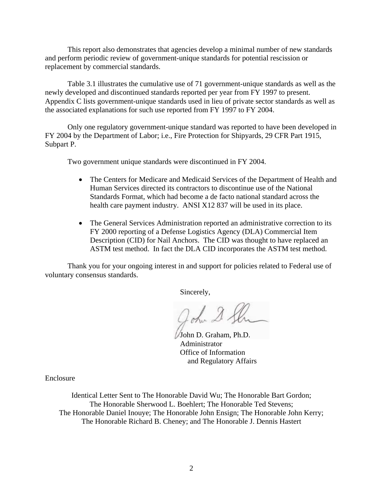This report also demonstrates that agencies develop a minimal number of new standards and perform periodic review of government-unique standards for potential rescission or replacement by commercial standards.

Table 3.1 illustrates the cumulative use of 71 government-unique standards as well as the newly developed and discontinued standards reported per year from FY 1997 to present. Appendix C lists government-unique standards used in lieu of private sector standards as well as the associated explanations for such use reported from FY 1997 to FY 2004.

Only one regulatory government-unique standard was reported to have been developed in FY 2004 by the Department of Labor; i.e., Fire Protection for Shipyards, 29 CFR Part 1915, Subpart P.

Two government unique standards were discontinued in FY 2004.

- The Centers for Medicare and Medicaid Services of the Department of Health and Human Services directed its contractors to discontinue use of the National Standards Format, which had become a de facto national standard across the health care payment industry. ANSI X12 837 will be used in its place.
- The General Services Administration reported an administrative correction to its FY 2000 reporting of a Defense Logistics Agency (DLA) Commercial Item Description (CID) for Nail Anchors. The CID was thought to have replaced an ASTM test method. In fact the DLA CID incorporates the ASTM test method.

Thank you for your ongoing interest in and support for policies related to Federal use of voluntary consensus standards.

Sincerely,

John 2.

 John D. Graham, Ph.D. Administrator Office of Information and Regulatory Affairs

Enclosure

Identical Letter Sent to The Honorable David Wu; The Honorable Bart Gordon; The Honorable Sherwood L. Boehlert; The Honorable Ted Stevens; The Honorable Daniel Inouye; The Honorable John Ensign; The Honorable John Kerry; The Honorable Richard B. Cheney; and The Honorable J. Dennis Hastert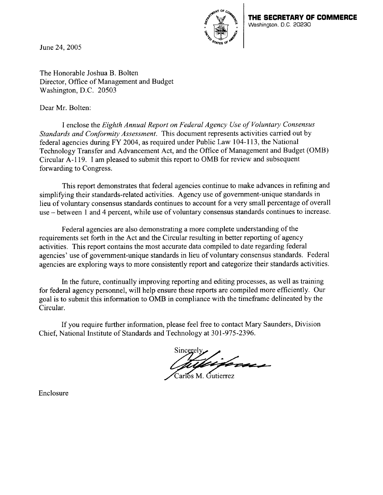June 24,2005



The Honorable Joshua B. Bolten Director, Office of Management and Budget Washington, D.C. 20503

Dear Mr. Bolten:

I enclose the *Eighth Annual Report on Federal Agency Use of Voluntary Consensus Standards and Conformity Assessment.* This document represents activities carried out by federal agencies during FY 2004, as required under Public Law 104-113, the National Technology Transfer and Advancement Act, and the Office of Management and Budget (OMB) Circular A-1 19. I am pleased to submit this report to OMB for review and subsequent forwarding to Congress.

This report demonstrates that federal agencies continue to make advances in refining and simplifying their standards-related activities. Agency use of government-unique standards in lieu of voluntary consensus standards continues to account for a very small percentage of overall use -between 1 and 4 percent, while use of voluntary consensus standards continues to increase.

Federal agencies are also demonstrating a more complete understanding of the requirements set forth in the Act and the Circular resulting in better reporting of agency activities. This report contains the most accurate data compiled to date regarding federal agencies' use of government-unique standards in lieu of voluntary consensus standards. Federal agencies are exploring ways to more consistently report and categorize their standards activities.

In the future, continually improving reporting and editing processes, as well as training for federal agency personnel, will help ensure these reports are compiled more efficiently. Our goal is to submit this information to OMB in compliance with the timeframe delineated by the Circular.

If you require further information, please feel free to contact Mary Saunders, Division Chief, National Institute of Standards and Technology at 301-975-2396.

'i forne.

Carlos M. Gutierrez

Enclosure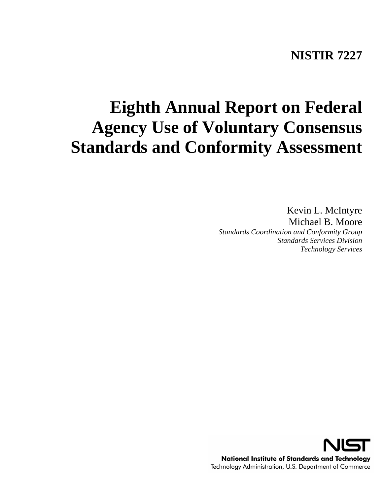## **NISTIR 7227**

# **Eighth Annual Report on Federal Agency Use of Voluntary Consensus Standards and Conformity Assessment**

Kevin L. McIntyre Michael B. Moore

*Standards Coordination and Conformity Group Standards Services Division Technology Services*

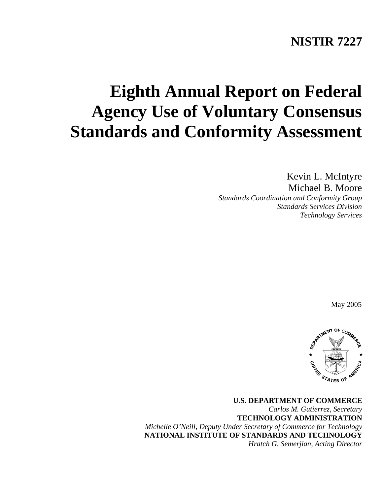## **NISTIR 7227**

# **Eighth Annual Report on Federal Agency Use of Voluntary Consensus Standards and Conformity Assessment**

Kevin L. McIntyre Michael B. Moore *Standards Coordination and Conformity Group Standards Services Division Technology Services* 

May 2005



**U.S. DEPARTMENT OF COMMERCE**  *Carlos M. Gutierrez, Secretary*  **TECHNOLOGY ADMINISTRATION**  *Michelle O'Neill, Deputy Under Secretary of Commerce for Technology*  **NATIONAL INSTITUTE OF STANDARDS AND TECHNOLOGY**  *Hratch G. Semerjian, Acting Director*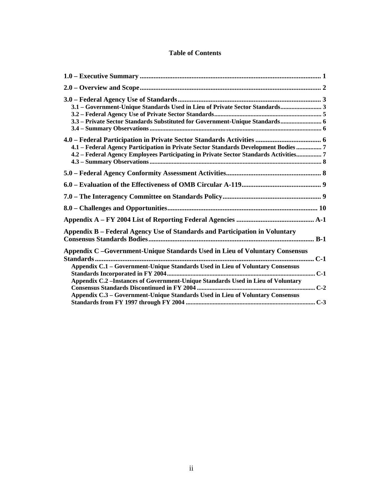## **Table of Contents**

| 3.1 - Government-Unique Standards Used in Lieu of Private Sector Standards 3<br>3.3 - Private Sector Standards Substituted for Government-Unique Standards 6                                                                                                                                                                         |  |
|--------------------------------------------------------------------------------------------------------------------------------------------------------------------------------------------------------------------------------------------------------------------------------------------------------------------------------------|--|
| 4.1 - Federal Agency Participation in Private Sector Standards Development Bodies  7<br>4.2 - Federal Agency Employees Participating in Private Sector Standards Activities 7                                                                                                                                                        |  |
|                                                                                                                                                                                                                                                                                                                                      |  |
|                                                                                                                                                                                                                                                                                                                                      |  |
|                                                                                                                                                                                                                                                                                                                                      |  |
|                                                                                                                                                                                                                                                                                                                                      |  |
|                                                                                                                                                                                                                                                                                                                                      |  |
| Appendix B – Federal Agency Use of Standards and Participation in Voluntary                                                                                                                                                                                                                                                          |  |
| Appendix C -Government-Unique Standards Used in Lieu of Voluntary Consensus<br>Appendix C.1 - Government-Unique Standards Used in Lieu of Voluntary Consensus<br>Appendix C.2 - Instances of Government-Unique Standards Used in Lieu of Voluntary<br>Appendix C.3 - Government-Unique Standards Used in Lieu of Voluntary Consensus |  |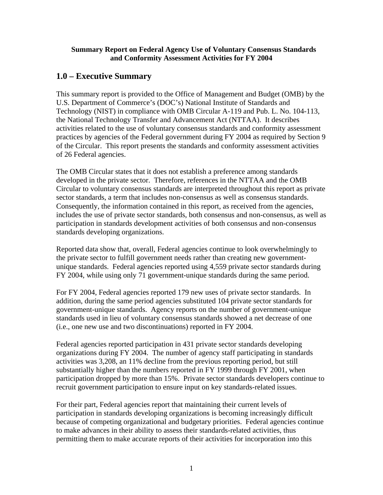### <span id="page-6-0"></span>**Summary Report on Federal Agency Use of Voluntary Consensus Standards and Conformity Assessment Activities for FY 2004**

## **1.0 – Executive Summary**

This summary report is provided to the Office of Management and Budget (OMB) by the U.S. Department of Commerce's (DOC's) National Institute of Standards and Technology (NIST) in compliance with OMB Circular A-119 and Pub. L. No. 104-113, the National Technology Transfer and Advancement Act (NTTAA). It describes activities related to the use of voluntary consensus standards and conformity assessment practices by agencies of the Federal government during FY 2004 as required by Section 9 of the Circular. This report presents the standards and conformity assessment activities of 26 Federal agencies.

The OMB Circular states that it does not establish a preference among standards developed in the private sector. Therefore, references in the NTTAA and the OMB Circular to voluntary consensus standards are interpreted throughout this report as private sector standards, a term that includes non-consensus as well as consensus standards. Consequently, the information contained in this report, as received from the agencies, includes the use of private sector standards, both consensus and non-consensus, as well as participation in standards development activities of both consensus and non-consensus standards developing organizations.

Reported data show that, overall, Federal agencies continue to look overwhelmingly to the private sector to fulfill government needs rather than creating new governmentunique standards. Federal agencies reported using 4,559 private sector standards during FY 2004, while using only 71 government-unique standards during the same period.

For FY 2004, Federal agencies reported 179 new uses of private sector standards. In addition, during the same period agencies substituted 104 private sector standards for government-unique standards. Agency reports on the number of government-unique standards used in lieu of voluntary consensus standards showed a net decrease of one (i.e., one new use and two discontinuations) reported in FY 2004.

Federal agencies reported participation in 431 private sector standards developing organizations during FY 2004. The number of agency staff participating in standards activities was 3,208, an 11% decline from the previous reporting period, but still substantially higher than the numbers reported in FY 1999 through FY 2001, when participation dropped by more than 15%. Private sector standards developers continue to recruit government participation to ensure input on key standards-related issues.

For their part, Federal agencies report that maintaining their current levels of participation in standards developing organizations is becoming increasingly difficult because of competing organizational and budgetary priorities. Federal agencies continue to make advances in their ability to assess their standards-related activities, thus permitting them to make accurate reports of their activities for incorporation into this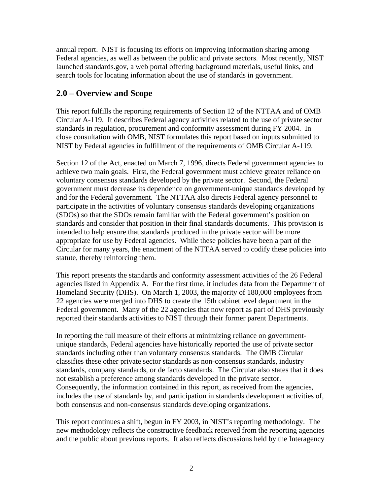<span id="page-7-0"></span>annual report. NIST is focusing its efforts on improving information sharing among Federal agencies, as well as between the public and private sectors. Most recently, NIST launched standards.gov, a web portal offering background materials, useful links, and search tools for locating information about the use of standards in government.

## **2.0 – Overview and Scope**

This report fulfills the reporting requirements of Section 12 of the NTTAA and of OMB Circular A-119. It describes Federal agency activities related to the use of private sector standards in regulation, procurement and conformity assessment during FY 2004. In close consultation with OMB, NIST formulates this report based on inputs submitted to NIST by Federal agencies in fulfillment of the requirements of OMB Circular A-119.

Section 12 of the Act, enacted on March 7, 1996, directs Federal government agencies to achieve two main goals. First, the Federal government must achieve greater reliance on voluntary consensus standards developed by the private sector. Second, the Federal government must decrease its dependence on government-unique standards developed by and for the Federal government. The NTTAA also directs Federal agency personnel to participate in the activities of voluntary consensus standards developing organizations (SDOs) so that the SDOs remain familiar with the Federal government's position on standards and consider that position in their final standards documents. This provision is intended to help ensure that standards produced in the private sector will be more appropriate for use by Federal agencies. While these policies have been a part of the Circular for many years, the enactment of the NTTAA served to codify these policies into statute, thereby reinforcing them.

This report presents the standards and conformity assessment activities of the 26 Federal agencies listed in Appendix A. For the first time, it includes data from the Department of Homeland Security (DHS). On March 1, 2003, the majority of 180,000 employees from 22 agencies were merged into DHS to create the 15th cabinet level department in the Federal government. Many of the 22 agencies that now report as part of DHS previously reported their standards activities to NIST through their former parent Departments.

In reporting the full measure of their efforts at minimizing reliance on governmentunique standards, Federal agencies have historically reported the use of private sector standards including other than voluntary consensus standards. The OMB Circular classifies these other private sector standards as non-consensus standards, industry standards, company standards, or de facto standards. The Circular also states that it does not establish a preference among standards developed in the private sector. Consequently, the information contained in this report, as received from the agencies, includes the use of standards by, and participation in standards development activities of, both consensus and non-consensus standards developing organizations.

This report continues a shift, begun in FY 2003, in NIST's reporting methodology. The new methodology reflects the constructive feedback received from the reporting agencies and the public about previous reports. It also reflects discussions held by the Interagency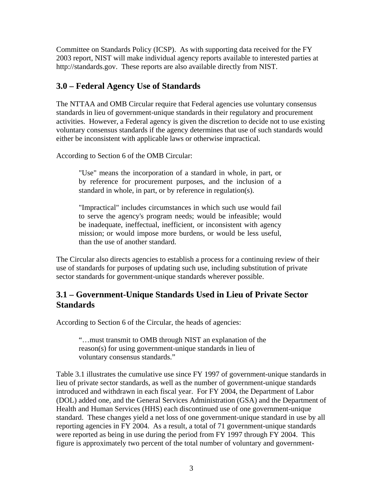<span id="page-8-0"></span>Committee on Standards Policy (ICSP). As with supporting data received for the FY 2003 report, NIST will make individual agency reports available to interested parties at http://standards.gov. These reports are also available directly from NIST.

## **3.0 – Federal Agency Use of Standards**

The NTTAA and OMB Circular require that Federal agencies use voluntary consensus standards in lieu of government-unique standards in their regulatory and procurement activities. However, a Federal agency is given the discretion to decide not to use existing voluntary consensus standards if the agency determines that use of such standards would either be inconsistent with applicable laws or otherwise impractical.

According to Section 6 of the OMB Circular:

"Use" means the incorporation of a standard in whole, in part, or by reference for procurement purposes, and the inclusion of a standard in whole, in part, or by reference in regulation(s).

 "Impractical" includes circumstances in which such use would fail to serve the agency's program needs; would be infeasible; would be inadequate, ineffectual, inefficient, or inconsistent with agency mission; or would impose more burdens, or would be less useful, than the use of another standard.

The Circular also directs agencies to establish a process for a continuing review of their use of standards for purposes of updating such use, including substitution of private sector standards for government-unique standards wherever possible.

## **3.1 – Government-Unique Standards Used in Lieu of Private Sector Standards**

According to Section 6 of the Circular, the heads of agencies:

 "…must transmit to OMB through NIST an explanation of the reason(s) for using government-unique standards in lieu of voluntary consensus standards."

Table 3.1 illustrates the cumulative use since FY 1997 of government-unique standards in lieu of private sector standards, as well as the number of government-unique standards introduced and withdrawn in each fiscal year. For FY 2004, the Department of Labor (DOL) added one, and the General Services Administration (GSA) and the Department of Health and Human Services (HHS) each discontinued use of one government-unique standard. These changes yield a net loss of one government-unique standard in use by all reporting agencies in FY 2004. As a result, a total of 71 government-unique standards were reported as being in use during the period from FY 1997 through FY 2004. This figure is approximately two percent of the total number of voluntary and government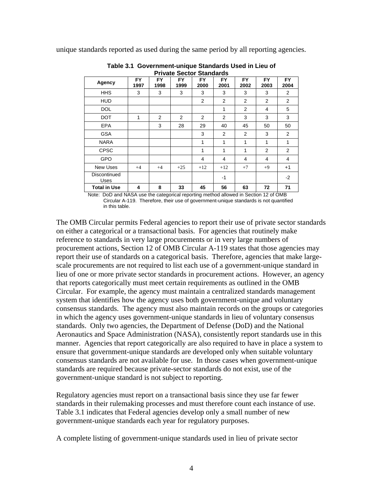unique standards reported as used during the same period by all reporting agencies.

| Private Sector Standards |                   |                   |                   |                   |                   |                   |                   |                   |
|--------------------------|-------------------|-------------------|-------------------|-------------------|-------------------|-------------------|-------------------|-------------------|
| Agency                   | <b>FY</b><br>1997 | <b>FY</b><br>1998 | <b>FY</b><br>1999 | <b>FY</b><br>2000 | <b>FY</b><br>2001 | <b>FY</b><br>2002 | <b>FY</b><br>2003 | <b>FY</b><br>2004 |
| <b>HHS</b>               | 3                 | 3                 | 3                 | 3                 | 3                 | 3                 | 3                 | 2                 |
| <b>HUD</b>               |                   |                   |                   | $\overline{2}$    | 2                 | 2                 | 2                 | 2                 |
| <b>DOL</b>               |                   |                   |                   |                   | 1                 | 2                 | 4                 | 5                 |
| <b>DOT</b>               | 1                 | $\overline{2}$    | 2                 | $\mathfrak{p}$    | 2                 | 3                 | 3                 | 3                 |
| <b>EPA</b>               |                   | 3                 | 28                | 29                | 40                | 45                | 50                | 50                |
| <b>GSA</b>               |                   |                   |                   | 3                 | 2                 | 2                 | 3                 | 2                 |
| <b>NARA</b>              |                   |                   |                   | 1                 | 1                 | 1                 | 1                 | 1                 |
| <b>CPSC</b>              |                   |                   |                   | 1                 | 1                 | 1                 | $\overline{2}$    | 2                 |
| <b>GPO</b>               |                   |                   |                   | 4                 | 4                 | 4                 | 4                 | 4                 |
| New Uses                 | $+4$              | $+4$              | $+25$             | $+12$             | $+12$             | $+7$              | $+9$              | $+1$              |
| Discontinued<br>Uses     |                   |                   |                   |                   | $-1$              |                   |                   | -2                |
| <b>Total in Use</b>      | 4                 | 8                 | 33                | 45                | 56                | 63                | 72                | 71                |

**Table 3.1 Government-unique Standards Used in Lieu of Private Sector Standards** 

Note: DoD and NASA use the categorical reporting method allowed in Section 12 of OMB Circular A-119. Therefore, their use of government-unique standards is not quantified in this table.

The OMB Circular permits Federal agencies to report their use of private sector standards on either a categorical or a transactional basis. For agencies that routinely make reference to standards in very large procurements or in very large numbers of procurement actions, Section 12 of OMB Circular A-119 states that those agencies may report their use of standards on a categorical basis. Therefore, agencies that make largescale procurements are not required to list each use of a government-unique standard in lieu of one or more private sector standards in procurement actions. However, an agency that reports categorically must meet certain requirements as outlined in the OMB Circular. For example, the agency must maintain a centralized standards management system that identifies how the agency uses both government-unique and voluntary consensus standards. The agency must also maintain records on the groups or categories in which the agency uses government-unique standards in lieu of voluntary consensus standards. Only two agencies, the Department of Defense (DoD) and the National Aeronautics and Space Administration (NASA), consistently report standards use in this manner. Agencies that report categorically are also required to have in place a system to ensure that government-unique standards are developed only when suitable voluntary consensus standards are not available for use. In those cases when government-unique standards are required because private-sector standards do not exist, use of the government-unique standard is not subject to reporting.

Regulatory agencies must report on a transactional basis since they use far fewer standards in their rulemaking processes and must therefore count each instance of use. Table 3.1 indicates that Federal agencies develop only a small number of new government-unique standards each year for regulatory purposes.

A complete listing of government-unique standards used in lieu of private sector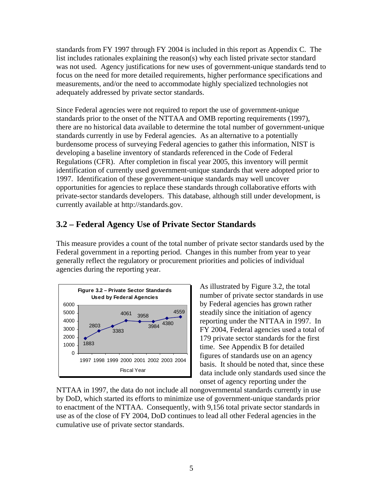<span id="page-10-0"></span>standards from FY 1997 through FY 2004 is included in this report as Appendix C. The list includes rationales explaining the reason(s) why each listed private sector standard was not used. Agency justifications for new uses of government-unique standards tend to focus on the need for more detailed requirements, higher performance specifications and measurements, and/or the need to accommodate highly specialized technologies not adequately addressed by private sector standards.

Since Federal agencies were not required to report the use of government-unique standards prior to the onset of the NTTAA and OMB reporting requirements (1997), there are no historical data available to determine the total number of government-unique standards currently in use by Federal agencies. As an alternative to a potentially burdensome process of surveying Federal agencies to gather this information, NIST is developing a baseline inventory of standards referenced in the Code of Federal Regulations (CFR). After completion in fiscal year 2005, this inventory will permit identification of currently used government-unique standards that were adopted prior to 1997. Identification of these government-unique standards may well uncover opportunities for agencies to replace these standards through collaborative efforts with private-sector standards developers. This database, although still under development, is currently available at http://standards.gov.

## **3.2 – Federal Agency Use of Private Sector Standards**

This measure provides a count of the total number of private sector standards used by the Federal government in a reporting period. Changes in this number from year to year generally reflect the regulatory or procurement priorities and policies of individual agencies during the reporting year.



As illustrated by Figure 3.2, the total number of private sector standards in use by Federal agencies has grown rather steadily since the initiation of agency reporting under the NTTAA in 1997. In FY 2004, Federal agencies used a total of 179 private sector standards for the first time. See Appendix B for detailed figures of standards use on an agency basis. It should be noted that, since these Fiscal Year data include only standards used since the onset of agency reporting under the

NTTAA in 1997, the data do not include all nongovernmental standards currently in use by DoD, which started its efforts to minimize use of government-unique standards prior to enactment of the NTTAA. Consequently, with 9,156 total private sector standards in use as of the close of FY 2004, DoD continues to lead all other Federal agencies in the cumulative use of private sector standards.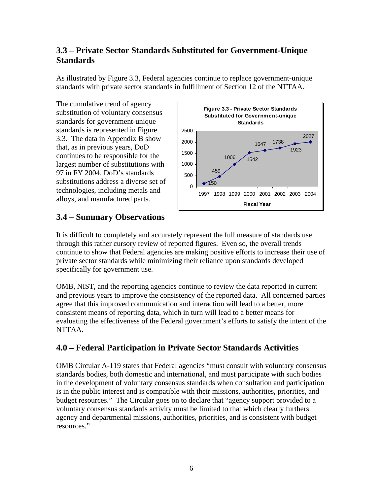## <span id="page-11-0"></span>**3.3 – Private Sector Standards Substituted for Government-Unique Standards**

As illustrated by Figure 3.3, Federal agencies continue to replace government-unique standards with private sector standards in fulfillment of Section 12 of the NTTAA.

The cumulative trend of agency substitution of voluntary consensus standards for government-unique standards is represented in Figure 3.3. The data in Appendix B show that, as in previous years, DoD continues to be responsible for the largest number of substitutions with 97 in FY 2004. DoD's standards substitutions address a diverse set of technologies, including metals and alloys, and manufactured parts.



## **3.4 – Summary Observations**

It is difficult to completely and accurately represent the full measure of standards use through this rather cursory review of reported figures. Even so, the overall trends continue to show that Federal agencies are making positive efforts to increase their use of private sector standards while minimizing their reliance upon standards developed specifically for government use.

OMB, NIST, and the reporting agencies continue to review the data reported in current and previous years to improve the consistency of the reported data. All concerned parties agree that this improved communication and interaction will lead to a better, more consistent means of reporting data, which in turn will lead to a better means for evaluating the effectiveness of the Federal government's efforts to satisfy the intent of the NTTAA.

## **4.0 – Federal Participation in Private Sector Standards Activities**

OMB Circular A-119 states that Federal agencies "must consult with voluntary consensus standards bodies, both domestic and international, and must participate with such bodies in the development of voluntary consensus standards when consultation and participation is in the public interest and is compatible with their missions, authorities, priorities, and budget resources." The Circular goes on to declare that "agency support provided to a voluntary consensus standards activity must be limited to that which clearly furthers agency and departmental missions, authorities, priorities, and is consistent with budget resources."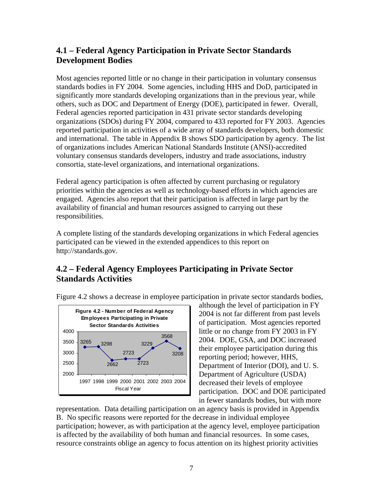## <span id="page-12-0"></span>**4.1 – Federal Agency Participation in Private Sector Standards Development Bodies**

Most agencies reported little or no change in their participation in voluntary consensus standards bodies in FY 2004. Some agencies, including HHS and DoD, participated in significantly more standards developing organizations than in the previous year, while others, such as DOC and Department of Energy (DOE), participated in fewer. Overall, Federal agencies reported participation in 431 private sector standards developing organizations (SDOs) during FY 2004, compared to 433 reported for FY 2003. Agencies reported participation in activities of a wide array of standards developers, both domestic and international. The table in Appendix B shows SDO participation by agency. The list of organizations includes American National Standards Institute (ANSI)-accredited voluntary consensus standards developers, industry and trade associations, industry consortia, state-level organizations, and international organizations.

Federal agency participation is often affected by current purchasing or regulatory priorities within the agencies as well as technology-based efforts in which agencies are engaged. Agencies also report that their participation is affected in large part by the availability of financial and human resources assigned to carrying out these responsibilities.

A complete listing of the standards developing organizations in which Federal agencies participated can be viewed in the extended appendices to this report on http://standards.gov.

## **4.2 – Federal Agency Employees Participating in Private Sector Standards Activities**



Figure 4.2 shows a decrease in employee participation in private sector standards bodies,

although the level of participation in FY 2004 is not far different from past levels of participation. Most agencies reported little or no change from FY 2003 in FY 2004. DOE, GSA, and DOC increased their employee participation during this reporting period; however, HHS, Department of Interior (DOI), and U. S. Department of Agriculture (USDA) decreased their levels of employee participation. DOC and DOE participated in fewer standards bodies, but with more

representation. Data detailing participation on an agency basis is provided in Appendix B. No specific reasons were reported for the decrease in individual employee participation; however, as with participation at the agency level, employee participation is affected by the availability of both human and financial resources. In some cases, resource constraints oblige an agency to focus attention on its highest priority activities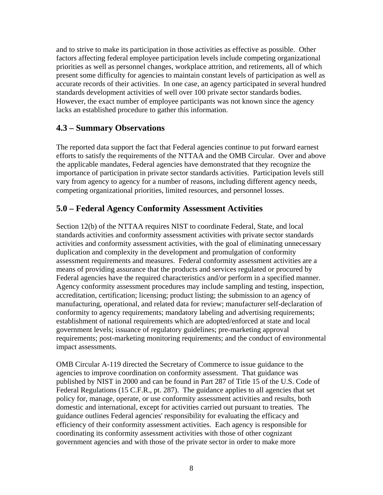<span id="page-13-0"></span>and to strive to make its participation in those activities as effective as possible. Other factors affecting federal employee participation levels include competing organizational priorities as well as personnel changes, workplace attrition, and retirements, all of which present some difficulty for agencies to maintain constant levels of participation as well as accurate records of their activities. In one case, an agency participated in several hundred standards development activities of well over 100 private sector standards bodies. However, the exact number of employee participants was not known since the agency lacks an established procedure to gather this information.

## **4.3 – Summary Observations**

The reported data support the fact that Federal agencies continue to put forward earnest efforts to satisfy the requirements of the NTTAA and the OMB Circular. Over and above the applicable mandates, Federal agencies have demonstrated that they recognize the importance of participation in private sector standards activities. Participation levels still vary from agency to agency for a number of reasons, including different agency needs, competing organizational priorities, limited resources, and personnel losses.

## **5.0 – Federal Agency Conformity Assessment Activities**

Section 12(b) of the NTTAA requires NIST to coordinate Federal, State, and local standards activities and conformity assessment activities with private sector standards activities and conformity assessment activities, with the goal of eliminating unnecessary duplication and complexity in the development and promulgation of conformity assessment requirements and measures. Federal conformity assessment activities are a means of providing assurance that the products and services regulated or procured by Federal agencies have the required characteristics and/or perform in a specified manner. Agency conformity assessment procedures may include sampling and testing, inspection, accreditation, certification; licensing; product listing; the submission to an agency of manufacturing, operational, and related data for review; manufacturer self-declaration of conformity to agency requirements; mandatory labeling and advertising requirements; establishment of national requirements which are adopted/enforced at state and local government levels; issuance of regulatory guidelines; pre-marketing approval requirements; post-marketing monitoring requirements; and the conduct of environmental impact assessments.

OMB Circular A-119 directed the Secretary of Commerce to issue guidance to the agencies to improve coordination on conformity assessment. That guidance was published by NIST in 2000 and can be found in Part 287 of Title 15 of the U.S. Code of Federal Regulations (15 C.F.R., pt. 287). The guidance applies to all agencies that set policy for, manage, operate, or use conformity assessment activities and results, both domestic and international, except for activities carried out pursuant to treaties. The guidance outlines Federal agencies' responsibility for evaluating the efficacy and efficiency of their conformity assessment activities. Each agency is responsible for coordinating its conformity assessment activities with those of other cognizant government agencies and with those of the private sector in order to make more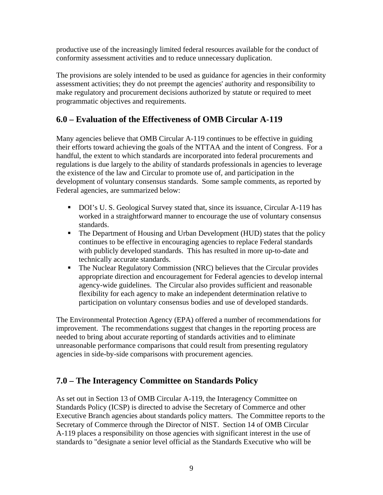<span id="page-14-0"></span>productive use of the increasingly limited federal resources available for the conduct of conformity assessment activities and to reduce unnecessary duplication.

The provisions are solely intended to be used as guidance for agencies in their conformity assessment activities; they do not preempt the agencies' authority and responsibility to make regulatory and procurement decisions authorized by statute or required to meet programmatic objectives and requirements.

## **6.0 – Evaluation of the Effectiveness of OMB Circular A-119**

Many agencies believe that OMB Circular A-119 continues to be effective in guiding their efforts toward achieving the goals of the NTTAA and the intent of Congress. For a handful, the extent to which standards are incorporated into federal procurements and regulations is due largely to the ability of standards professionals in agencies to leverage the existence of the law and Circular to promote use of, and participation in the development of voluntary consensus standards. Some sample comments, as reported by Federal agencies, are summarized below:

- DOI's U. S. Geological Survey stated that, since its issuance, Circular A-119 has worked in a straightforward manner to encourage the use of voluntary consensus standards.
- The Department of Housing and Urban Development (HUD) states that the policy continues to be effective in encouraging agencies to replace Federal standards with publicly developed standards. This has resulted in more up-to-date and technically accurate standards.
- The Nuclear Regulatory Commission (NRC) believes that the Circular provides appropriate direction and encouragement for Federal agencies to develop internal agency-wide guidelines. The Circular also provides sufficient and reasonable flexibility for each agency to make an independent determination relative to participation on voluntary consensus bodies and use of developed standards.

The Environmental Protection Agency (EPA) offered a number of recommendations for improvement. The recommendations suggest that changes in the reporting process are needed to bring about accurate reporting of standards activities and to eliminate unreasonable performance comparisons that could result from presenting regulatory agencies in side-by-side comparisons with procurement agencies.

## **7.0 – The Interagency Committee on Standards Policy**

As set out in Section 13 of OMB Circular A-119, the Interagency Committee on Standards Policy (ICSP) is directed to advise the Secretary of Commerce and other Executive Branch agencies about standards policy matters. The Committee reports to the Secretary of Commerce through the Director of NIST. Section 14 of OMB Circular A-119 places a responsibility on those agencies with significant interest in the use of standards to "designate a senior level official as the Standards Executive who will be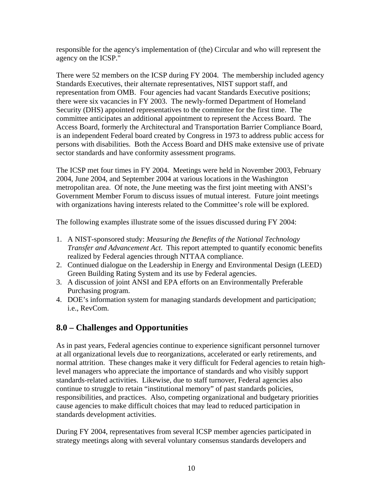<span id="page-15-0"></span>responsible for the agency's implementation of (the) Circular and who will represent the agency on the ICSP."

There were 52 members on the ICSP during FY 2004. The membership included agency Standards Executives, their alternate representatives, NIST support staff, and representation from OMB. Four agencies had vacant Standards Executive positions; there were six vacancies in FY 2003. The newly-formed Department of Homeland Security (DHS) appointed representatives to the committee for the first time. The committee anticipates an additional appointment to represent the Access Board. The Access Board, formerly the Architectural and Transportation Barrier Compliance Board, is an independent Federal board created by Congress in 1973 to address public access for persons with disabilities. Both the Access Board and DHS make extensive use of private sector standards and have conformity assessment programs.

The ICSP met four times in FY 2004. Meetings were held in November 2003, February 2004, June 2004, and September 2004 at various locations in the Washington metropolitan area. Of note, the June meeting was the first joint meeting with ANSI's Government Member Forum to discuss issues of mutual interest. Future joint meetings with organizations having interests related to the Committee's role will be explored.

The following examples illustrate some of the issues discussed during FY 2004:

- 1. A NIST-sponsored study: *Measuring the Benefits of the National Technology Transfer and Advancement Act*. This report attempted to quantify economic benefits realized by Federal agencies through NTTAA compliance.
- 2. Continued dialogue on the Leadership in Energy and Environmental Design (LEED) Green Building Rating System and its use by Federal agencies.
- 3. A discussion of joint ANSI and EPA efforts on an Environmentally Preferable Purchasing program.
- 4. DOE's information system for managing standards development and participation; i.e., RevCom.

## **8.0 – Challenges and Opportunities**

As in past years, Federal agencies continue to experience significant personnel turnover at all organizational levels due to reorganizations, accelerated or early retirements, and normal attrition. These changes make it very difficult for Federal agencies to retain highlevel managers who appreciate the importance of standards and who visibly support standards-related activities. Likewise, due to staff turnover, Federal agencies also continue to struggle to retain "institutional memory" of past standards policies, responsibilities, and practices. Also, competing organizational and budgetary priorities cause agencies to make difficult choices that may lead to reduced participation in standards development activities.

During FY 2004, representatives from several ICSP member agencies participated in strategy meetings along with several voluntary consensus standards developers and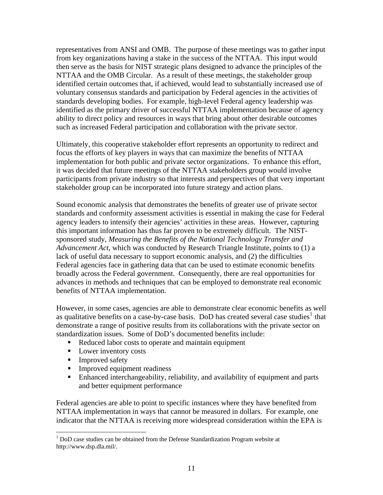representatives from ANSI and OMB. The purpose of these meetings was to gather input from key organizations having a stake in the success of the NTTAA. This input would then serve as the basis for NIST strategic plans designed to advance the principles of the NTTAA and the OMB Circular. As a result of these meetings, the stakeholder group identified certain outcomes that, if achieved, would lead to substantially increased use of voluntary consensus standards and participation by Federal agencies in the activities of standards developing bodies. For example, high-level Federal agency leadership was identified as the primary driver of successful NTTAA implementation because of agency ability to direct policy and resources in ways that bring about other desirable outcomes such as increased Federal participation and collaboration with the private sector.

Ultimately, this cooperative stakeholder effort represents an opportunity to redirect and focus the efforts of key players in ways that can maximize the benefits of NTTAA implementation for both public and private sector organizations. To enhance this effort, it was decided that future meetings of the NTTAA stakeholders group would involve participants from private industry so that interests and perspectives of that very important stakeholder group can be incorporated into future strategy and action plans.

Sound economic analysis that demonstrates the benefits of greater use of private sector standards and conformity assessment activities is essential in making the case for Federal agency leaders to intensify their agencies' activities in these areas. However, capturing this important information has thus far proven to be extremely difficult. The NISTsponsored study, *Measuring the Benefits of the National Technology Transfer and Advancement Act*, which was conducted by Research Triangle Institute, points to (1) a lack of useful data necessary to support economic analysis, and (2) the difficulties Federal agencies face in gathering data that can be used to estimate economic benefits broadly across the Federal government. Consequently, there are real opportunities for advances in methods and techniques that can be employed to demonstrate real economic benefits of NTTAA implementation.

However, in some cases, agencies are able to demonstrate clear economic benefits as well as qualitative benefits on a case-by-case basis. DoD has created several case studies<sup>[1](#page-16-0)</sup> that demonstrate a range of positive results from its collaborations with the private sector on standardization issues. Some of DoD's documented benefits include:

- Reduced labor costs to operate and maintain equipment
- Lower inventory costs
- **Improved safety**

 $\overline{a}$ 

- Improved equipment readiness
- Enhanced interchangeability, reliability, and availability of equipment and parts and better equipment performance

Federal agencies are able to point to specific instances where they have benefited from NTTAA implementation in ways that cannot be measured in dollars. For example, one indicator that the NTTAA is receiving more widespread consideration within the EPA is

<span id="page-16-0"></span> $1$  DoD case studies can be obtained from the Defense Standardization Program website at http://www.dsp.dla.mil/.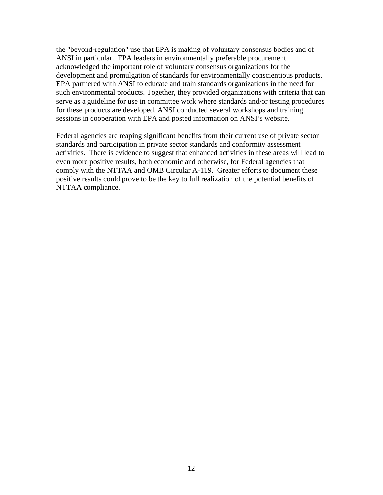the "beyond-regulation" use that EPA is making of voluntary consensus bodies and of ANSI in particular. EPA leaders in environmentally preferable procurement acknowledged the important role of voluntary consensus organizations for the development and promulgation of standards for environmentally conscientious products. EPA partnered with ANSI to educate and train standards organizations in the need for such environmental products. Together, they provided organizations with criteria that can serve as a guideline for use in committee work where standards and/or testing procedures for these products are developed. ANSI conducted several workshops and training sessions in cooperation with EPA and posted information on ANSI's website.

Federal agencies are reaping significant benefits from their current use of private sector standards and participation in private sector standards and conformity assessment activities. There is evidence to suggest that enhanced activities in these areas will lead to even more positive results, both economic and otherwise, for Federal agencies that comply with the NTTAA and OMB Circular A-119. Greater efforts to document these positive results could prove to be the key to full realization of the potential benefits of NTTAA compliance.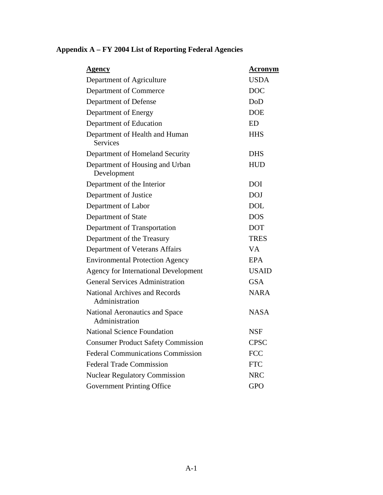| <u>Agency</u>                                          | <b>Acronym</b> |
|--------------------------------------------------------|----------------|
| Department of Agriculture                              | <b>USDA</b>    |
| Department of Commerce                                 | <b>DOC</b>     |
| Department of Defense                                  | DoD            |
| Department of Energy                                   | <b>DOE</b>     |
| Department of Education                                | <b>ED</b>      |
| Department of Health and Human<br><b>Services</b>      | <b>HHS</b>     |
| Department of Homeland Security                        | <b>DHS</b>     |
| Department of Housing and Urban<br>Development         | <b>HUD</b>     |
| Department of the Interior                             | <b>DOI</b>     |
| Department of Justice                                  | <b>DOJ</b>     |
| Department of Labor                                    | <b>DOL</b>     |
| Department of State                                    | <b>DOS</b>     |
| Department of Transportation                           | <b>DOT</b>     |
| Department of the Treasury                             | <b>TRES</b>    |
| Department of Veterans Affairs                         | <b>VA</b>      |
| <b>Environmental Protection Agency</b>                 | <b>EPA</b>     |
| <b>Agency for International Development</b>            | <b>USAID</b>   |
| <b>General Services Administration</b>                 | <b>GSA</b>     |
| <b>National Archives and Records</b><br>Administration | <b>NARA</b>    |
| National Aeronautics and Space<br>Administration       | NASA           |
| <b>National Science Foundation</b>                     | <b>NSF</b>     |
| <b>Consumer Product Safety Commission</b>              | <b>CPSC</b>    |
| <b>Federal Communications Commission</b>               | <b>FCC</b>     |
| <b>Federal Trade Commission</b>                        | <b>FTC</b>     |
| <b>Nuclear Regulatory Commission</b>                   | <b>NRC</b>     |
| <b>Government Printing Office</b>                      | <b>GPO</b>     |

## <span id="page-18-0"></span>**Appendix A – FY 2004 List of Reporting Federal Agencies**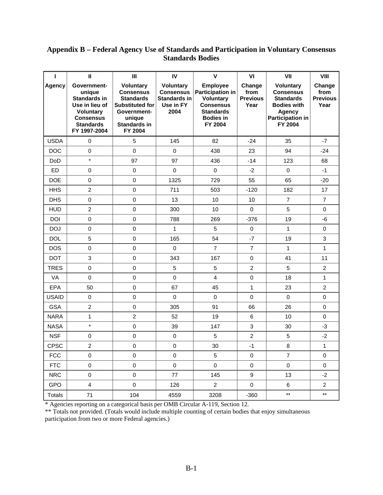## <span id="page-19-0"></span>**Appendix B – Federal Agency Use of Standards and Participation in Voluntary Consensus Standards Bodies**

| I             | $\mathbf{I}$                                                                                                                        | Ш                                                                                                                                             | IV                                                                          | $\mathsf{V}$                                                                                                                   | VI                                        | VII                                                                                                                                   | VIII                                      |
|---------------|-------------------------------------------------------------------------------------------------------------------------------------|-----------------------------------------------------------------------------------------------------------------------------------------------|-----------------------------------------------------------------------------|--------------------------------------------------------------------------------------------------------------------------------|-------------------------------------------|---------------------------------------------------------------------------------------------------------------------------------------|-------------------------------------------|
| <b>Agency</b> | Government-<br>unique<br>Standards in<br>Use in lieu of<br><b>Voluntary</b><br><b>Consensus</b><br><b>Standards</b><br>FY 1997-2004 | <b>Voluntary</b><br><b>Consensus</b><br><b>Standards</b><br><b>Substituted for</b><br>Government-<br>unique<br><b>Standards in</b><br>FY 2004 | <b>Voluntary</b><br>Consensus  <br><b>Standards in</b><br>Use in FY<br>2004 | <b>Employee</b><br>Participation in<br><b>Voluntary</b><br><b>Consensus</b><br><b>Standards</b><br><b>Bodies in</b><br>FY 2004 | Change<br>from<br><b>Previous</b><br>Year | <b>Voluntary</b><br><b>Consensus</b><br><b>Standards</b><br><b>Bodies with</b><br><b>Agency</b><br><b>Participation in</b><br>FY 2004 | Change<br>from<br><b>Previous</b><br>Year |
| <b>USDA</b>   | $\mathbf 0$                                                                                                                         | 5                                                                                                                                             | 145                                                                         | 82                                                                                                                             | $-24$                                     | 35                                                                                                                                    | $-7$                                      |
| <b>DOC</b>    | $\pmb{0}$                                                                                                                           | $\pmb{0}$                                                                                                                                     | $\mathbf 0$                                                                 | 438                                                                                                                            | 23                                        | 94                                                                                                                                    | $-24$                                     |
| <b>DoD</b>    | $\star$                                                                                                                             | 97                                                                                                                                            | 97                                                                          | 436                                                                                                                            | $-14$                                     | 123                                                                                                                                   | 68                                        |
| ED            | $\mathbf 0$                                                                                                                         | $\pmb{0}$                                                                                                                                     | $\mathbf 0$                                                                 | $\mathbf 0$                                                                                                                    | $-2$                                      | $\mathbf 0$                                                                                                                           | $-1$                                      |
| <b>DOE</b>    | $\pmb{0}$                                                                                                                           | $\mathsf 0$                                                                                                                                   | 1325                                                                        | 729                                                                                                                            | 55                                        | 65                                                                                                                                    | $-20$                                     |
| <b>HHS</b>    | $\overline{2}$                                                                                                                      | 0                                                                                                                                             | 711                                                                         | 503                                                                                                                            | $-120$                                    | 182                                                                                                                                   | 17                                        |
| <b>DHS</b>    | $\mathbf 0$                                                                                                                         | $\pmb{0}$                                                                                                                                     | 13                                                                          | 10                                                                                                                             | 10                                        | $\overline{7}$                                                                                                                        | $\overline{7}$                            |
| <b>HUD</b>    | $\overline{2}$                                                                                                                      | $\mathbf 0$                                                                                                                                   | 300                                                                         | 10                                                                                                                             | $\mathbf 0$                               | 5                                                                                                                                     | 0                                         |
| <b>DOI</b>    | 0                                                                                                                                   | $\mathbf 0$                                                                                                                                   | 788                                                                         | 269                                                                                                                            | $-376$                                    | 19                                                                                                                                    | -6                                        |
| <b>DOJ</b>    | $\mathbf 0$                                                                                                                         | $\pmb{0}$                                                                                                                                     | 1                                                                           | 5                                                                                                                              | $\pmb{0}$                                 | 1                                                                                                                                     | $\mathbf 0$                               |
| <b>DOL</b>    | 5                                                                                                                                   | 0                                                                                                                                             | 165                                                                         | 54                                                                                                                             | $-7$                                      | 19                                                                                                                                    | 3                                         |
| <b>DOS</b>    | $\mathbf 0$                                                                                                                         | $\mathsf 0$                                                                                                                                   | $\mathbf 0$                                                                 | $\overline{7}$                                                                                                                 | $\overline{7}$                            | 1                                                                                                                                     | 1                                         |
| <b>DOT</b>    | 3                                                                                                                                   | $\mathsf 0$                                                                                                                                   | 343                                                                         | 167                                                                                                                            | $\pmb{0}$                                 | 41                                                                                                                                    | 11                                        |
| <b>TRES</b>   | $\mathbf 0$                                                                                                                         | $\pmb{0}$                                                                                                                                     | 5                                                                           | $\overline{5}$                                                                                                                 | $\overline{c}$                            | 5                                                                                                                                     | $\overline{2}$                            |
| VA            | $\mathbf 0$                                                                                                                         | $\pmb{0}$                                                                                                                                     | $\mathbf 0$                                                                 | $\overline{4}$                                                                                                                 | $\pmb{0}$                                 | 18                                                                                                                                    | 1                                         |
| <b>EPA</b>    | 50                                                                                                                                  | 0                                                                                                                                             | 67                                                                          | 45                                                                                                                             | $\mathbf{1}$                              | 23                                                                                                                                    | $\overline{2}$                            |
| <b>USAID</b>  | $\boldsymbol{0}$                                                                                                                    | $\pmb{0}$                                                                                                                                     | $\mathbf 0$                                                                 | $\mathbf 0$                                                                                                                    | $\pmb{0}$                                 | $\mathbf 0$                                                                                                                           | $\pmb{0}$                                 |
| <b>GSA</b>    | $\overline{c}$                                                                                                                      | $\mathsf 0$                                                                                                                                   | 305                                                                         | 91                                                                                                                             | 66                                        | 26                                                                                                                                    | 0                                         |
| <b>NARA</b>   | 1                                                                                                                                   | $\overline{c}$                                                                                                                                | 52                                                                          | 19                                                                                                                             | 6                                         | 10                                                                                                                                    | 0                                         |
| <b>NASA</b>   | $\star$                                                                                                                             | $\pmb{0}$                                                                                                                                     | 39                                                                          | 147                                                                                                                            | 3                                         | 30                                                                                                                                    | $-3$                                      |
| <b>NSF</b>    | 0                                                                                                                                   | $\mathsf 0$                                                                                                                                   | $\mathbf 0$                                                                 | 5                                                                                                                              | $\overline{2}$                            | 5                                                                                                                                     | $-2$                                      |
| <b>CPSC</b>   | $\overline{c}$                                                                                                                      | $\mathsf 0$                                                                                                                                   | $\boldsymbol{0}$                                                            | 30                                                                                                                             | $-1$                                      | 8                                                                                                                                     | 1                                         |
| <b>FCC</b>    | $\pmb{0}$                                                                                                                           | $\pmb{0}$                                                                                                                                     | $\pmb{0}$                                                                   | 5                                                                                                                              | $\pmb{0}$                                 | 7                                                                                                                                     | 0                                         |
| <b>FTC</b>    | $\pmb{0}$                                                                                                                           | $\pmb{0}$                                                                                                                                     | $\pmb{0}$                                                                   | $\mathbf 0$                                                                                                                    | $\pmb{0}$                                 | $\mathsf{O}\xspace$                                                                                                                   | $\mathsf 0$                               |
| <b>NRC</b>    | $\pmb{0}$                                                                                                                           | $\pmb{0}$                                                                                                                                     | 77                                                                          | 145                                                                                                                            | 9                                         | 13                                                                                                                                    | $-2$                                      |
| GPO           | $\overline{4}$                                                                                                                      | $\mathsf{O}\xspace$                                                                                                                           | 126                                                                         | $\overline{a}$                                                                                                                 | $\mathbf 0$                               | 6                                                                                                                                     | $\overline{2}$                            |
| <b>Totals</b> | 71                                                                                                                                  | 104                                                                                                                                           | 4559                                                                        | 3208                                                                                                                           | $-360$                                    | $^{\star\star}$                                                                                                                       | $***$                                     |

\* Agencies reporting on a categorical basis per OMB Circular A-119, Section 12.

\*\* Totals not provided. (Totals would include multiple counting of certain bodies that enjoy simultaneous participation from two or more Federal agencies.)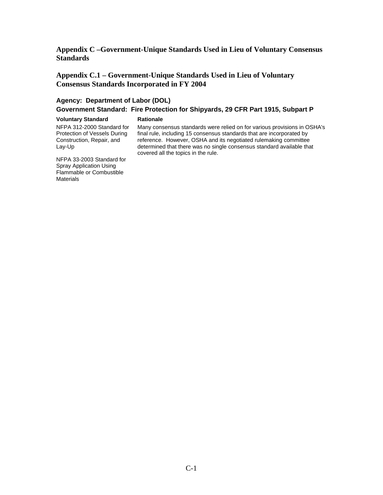<span id="page-20-0"></span>**Appendix C –Government-Unique Standards Used in Lieu of Voluntary Consensus Standards** 

**Appendix C.1 – Government-Unique Standards Used in Lieu of Voluntary Consensus Standards Incorporated in FY 2004** 

### **Agency: Department of Labor (DOL)**

### **Government Standard: Fire Protection for Shipyards, 29 CFR Part 1915, Subpart P**

#### **Voluntary Standard Rationale**

NFPA 312-2000 Standard for Protection of Vessels During Construction, Repair, and Lay-Up

 Many consensus standards were relied on for various provisions in OSHA's final rule, including 15 consensus standards that are incorporated by reference. However, OSHA and its negotiated rulemaking committee determined that there was no single consensus standard available that covered all the topics in the rule.

NFPA 33-2003 Standard for Spray Application Using Flammable or Combustible Materials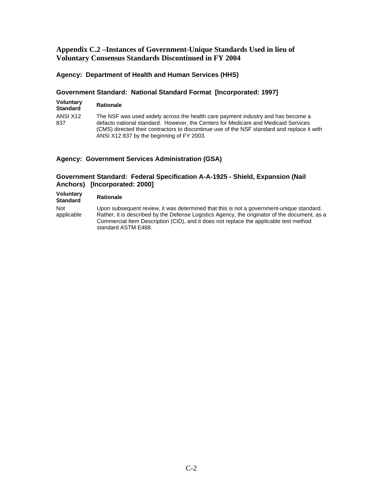### <span id="page-21-0"></span>**Appendix C.2 –Instances of Government-Unique Standards Used in lieu of Voluntary Consensus Standards Discontinued in FY 2004**

### **Agency: Department of Health and Human Services (HHS)**

### **Government Standard: National Standard Format [Incorporated: 1997]**

| <b>Voluntary</b><br><b>Standard</b> | <b>Rationale</b>                                                                                                                                                                                                                                                                                                   |
|-------------------------------------|--------------------------------------------------------------------------------------------------------------------------------------------------------------------------------------------------------------------------------------------------------------------------------------------------------------------|
| ANSI X12<br>837                     | The NSF was used widely across the health care payment industry and has become a<br>defacto national standard. However, the Centers for Medicare and Medicaid Services<br>(CMS) directed their contractors to discontinue use of the NSF standard and replace it with<br>ANSI X12 837 by the beginning of FY 2003. |

### **Agency: Government Services Administration (GSA)**

### **Government Standard: Federal Specification A-A-1925 - Shield, Expansion (Nail Anchors) [Incorporated: 2000]**

| Voluntary<br><b>Standard</b> | <b>Rationale</b>                                                                                                                                                                                                                                                                                          |
|------------------------------|-----------------------------------------------------------------------------------------------------------------------------------------------------------------------------------------------------------------------------------------------------------------------------------------------------------|
| <b>Not</b><br>applicable     | Upon subsequent review, it was determined that this is not a government-unique standard.<br>Rather, it is described by the Defense Logistics Agency, the originator of the document, as a<br>Commercial Item Description (CID), and it does not replace the applicable test method<br>standard ASTM E488. |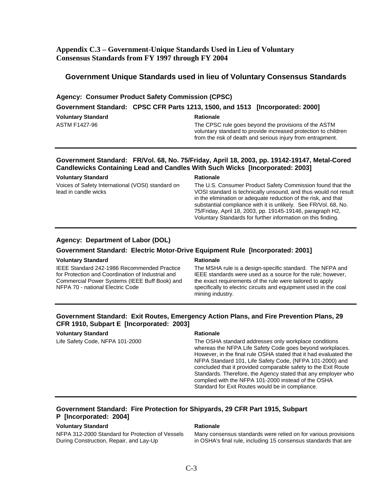### <span id="page-22-0"></span>**Appendix C.3 – Government-Unique Standards Used in Lieu of Voluntary Consensus Standards from FY 1997 through FY 2004**

### **Government Unique Standards used in lieu of Voluntary Consensus Standards**

#### **Agency: Consumer Product Safety Commission (CPSC)**

#### **Government Standard: CPSC CFR Parts 1213, 1500, and 1513 [Incorporated: 2000]**

| <b>Voluntary Standard</b> |  |
|---------------------------|--|
| ASTM F1427-96             |  |

#### **Rationale**

The CPSC rule goes beyond the provisions of the ASTM voluntary standard to provide increased protection to children from the risk of death and serious injury from entrapment.

### **Government Standard: FR/Vol. 68, No. 75/Friday, April 18, 2003, pp. 19142-19147, Metal-Cored Candlewicks Containing Lead and Candles With Such Wicks [Incorporated: 2003]**

| Voluntary Standard<br><b>Rationale</b>                                    |                                                                                                                                                                                                                                                                                                                                                                                                 |
|---------------------------------------------------------------------------|-------------------------------------------------------------------------------------------------------------------------------------------------------------------------------------------------------------------------------------------------------------------------------------------------------------------------------------------------------------------------------------------------|
| Voices of Safety International (VOSI) standard on<br>lead in candle wicks | The U.S. Consumer Product Safety Commission found that the<br>VOSI standard is technically unsound, and thus would not result<br>in the elimination or adequate reduction of the risk, and that<br>substantial compliance with it is unlikely. See FR/Vol. 68, No.<br>75/Friday, April 18, 2003, pp. 19145-19146, paragraph H2,<br>Voluntary Standards for further information on this finding. |

### **Agency: Department of Labor (DOL)**

#### **Government Standard: Electric Motor-Drive Equipment Rule [Incorporated: 2001]**

#### **Voluntary Standard Rationale Rationale Rationale**

IEEE Standard 242-1986 Recommended Practice for Protection and Coordination of Industrial and Commercial Power Systems (IEEE Buff Book) and NFPA 70 - national Electric Code

The MSHA rule is a design-specific standard. The NFPA and IEEE standards were used as a source for the rule; however, the exact requirements of the rule were tailored to apply specifically to electric circuits and equipment used in the coal mining industry.

### **Government Standard: Exit Routes, Emergency Action Plans, and Fire Prevention Plans, 29 CFR 1910, Subpart E [Incorporated: 2003]**

### **Voluntary Standard Rationale Rationale Rationale**

Life Safety Code, NFPA 101-2000 The OSHA standard addresses only workplace conditions whereas the NFPA Life Safety Code goes beyond workplaces. However, in the final rule OSHA stated that it had evaluated the NFPA Standard 101, Life Safety Code, (NFPA 101-2000) and concluded that it provided comparable safety to the Exit Route Standards. Therefore, the Agency stated that any employer who complied with the NFPA 101-2000 instead of the OSHA Standard for Exit Routes would be in compliance.

### **Government Standard: Fire Protection for Shipyards, 29 CFR Part 1915, Subpart P [Incorporated: 2004]**

#### **Voluntary Standard Rationale Rationale Rationale**

NFPA 312-2000 Standard for Protection of Vessels During Construction, Repair, and Lay-Up

Many consensus standards were relied on for various provisions in OSHA's final rule, including 15 consensus standards that are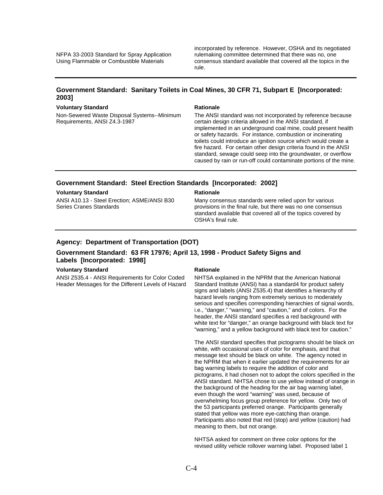incorporated by reference. However, OSHA and its negotiated rulemaking committee determined that there was no, one consensus standard available that covered all the topics in the rule.

### **Government Standard: Sanitary Toilets in Coal Mines, 30 CFR 71, Subpart E [Incorporated: 2003]**

#### **Voluntary Standard Rationale Rationale Rationale**

Non-Sewered Waste Disposal Systems--Minimum Requirements, ANSI Z4.3-1987

The ANSI standard was not incorporated by reference because certain design criteria allowed in the ANSI standard, if implemented in an underground coal mine, could present health or safety hazards. For instance, combustion or incinerating toilets could introduce an ignition source which would create a fire hazard. For certain other design criteria found in the ANSI standard, sewage could seep into the groundwater, or overflow caused by rain or run-off could contaminate portions of the mine.

#### **Government Standard: Steel Erection Standards [Incorporated: 2002]**

#### **Voluntary Standard Rationale Rationale Rationale**

ANSI A10.13 - Steel Erection; ASME/ANSI B30 Series Cranes Standards

Many consensus standards were relied upon for various provisions in the final rule, but there was no one consensus standard available that covered all of the topics covered by OSHA's final rule.

### **Agency: Department of Transportation (DOT)**

#### **Government Standard: 63 FR 17976; April 13, 1998 - Product Safety Signs and Labels [Incorporated: 1998]**

#### **Voluntary Standard Rationale Rationale Rationale**

ANSI Z535.4 - ANSI Requirements for Color Coded Header Messages for the Different Levels of Hazard

NHTSA explained in the NPRM that the American National Standard Institute (ANSI) has a standard4 for product safety signs and labels (ANSI Z535.4) that identifies a hierarchy of hazard levels ranging from extremely serious to moderately serious and specifies corresponding hierarchies of signal words, i.e., "danger," "warning," and "caution," and of colors. For the header, the ANSI standard specifies a red background with white text for "danger," an orange background with black text for "warning," and a yellow background with black text for caution."

The ANSI standard specifies that pictograms should be black on white, with occasional uses of color for emphasis, and that message text should be black on white. The agency noted in the NPRM that when it earlier updated the requirements for air bag warning labels to require the addition of color and pictograms, it had chosen not to adopt the colors specified in the ANSI standard. NHTSA chose to use yellow instead of orange in the background of the heading for the air bag warning label, even though the word "warning" was used, because of overwhelming focus group preference for yellow. Only two of the 53 participants preferred orange. Participants generally stated that yellow was more eye-catching than orange. Participants also noted that red (stop) and yellow (caution) had meaning to them, but not orange.

NHTSA asked for comment on three color options for the revised utility vehicle rollover warning label. Proposed label 1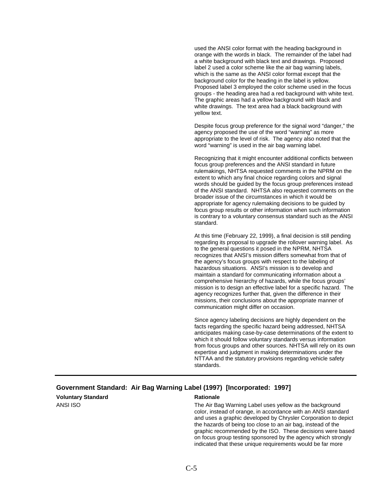used the ANSI color format with the heading background in orange with the words in black. The remainder of the label had a white background with black text and drawings. Proposed label 2 used a color scheme like the air bag warning labels, which is the same as the ANSI color format except that the background color for the heading in the label is yellow. Proposed label 3 employed the color scheme used in the focus groups - the heading area had a red background with white text. The graphic areas had a yellow background with black and white drawings. The text area had a black background with yellow text.

Despite focus group preference for the signal word "danger," the agency proposed the use of the word "warning" as more appropriate to the level of risk. The agency also noted that the word "warning" is used in the air bag warning label.

Recognizing that it might encounter additional conflicts between focus group preferences and the ANSI standard in future rulemakings, NHTSA requested comments in the NPRM on the extent to which any final choice regarding colors and signal words should be guided by the focus group preferences instead of the ANSI standard. NHTSA also requested comments on the broader issue of the circumstances in which it would be appropriate for agency rulemaking decisions to be guided by focus group results or other information when such information is contrary to a voluntary consensus standard such as the ANSI standard.

At this time (February 22, 1999), a final decision is still pending regarding its proposal to upgrade the rollover warning label. As to the general questions it posed in the NPRM, NHTSA recognizes that ANSI's mission differs somewhat from that of the agency's focus groups with respect to the labeling of hazardous situations. ANSI's mission is to develop and maintain a standard for communicating information about a comprehensive hierarchy of hazards, while the focus groups' mission is to design an effective label for a specific hazard. The agency recognizes further that, given the difference in their missions, their conclusions about the appropriate manner of communication might differ on occasion.

Since agency labeling decisions are highly dependent on the facts regarding the specific hazard being addressed, NHTSA anticipates making case-by-case determinations of the extent to which it should follow voluntary standards versus information from focus groups and other sources. NHTSA will rely on its own expertise and judgment in making determinations under the NTTAA and the statutory provisions regarding vehicle safety standards.

#### **Government Standard: Air Bag Warning Label (1997) [Incorporated: 1997]**

**Voluntary Standard Rationale Rationale Rationale** 

ANSI ISO **The Air Bag Warning Label uses yellow as the background** The Air Bag Warning Label uses yellow as the background color, instead of orange, in accordance with an ANSI standard and uses a graphic developed by Chrysler Corporation to depict the hazards of being too close to an air bag, instead of the graphic recommended by the ISO. These decisions were based on focus group testing sponsored by the agency which strongly indicated that these unique requirements would be far more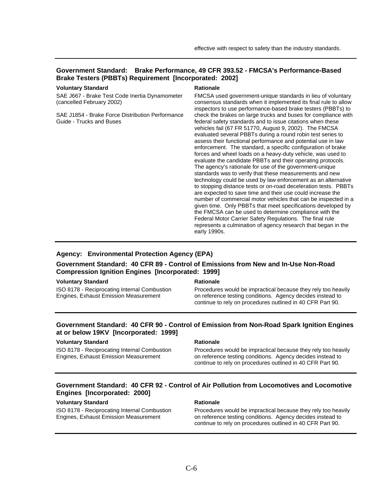### **Government Standard: Brake Performance, 49 CFR 393.52 - FMCSA's Performance-Based Brake Testers (PBBTs) Requirement [Incorporated: 2002]**

#### **Voluntary Standard Rationale Rationale Rationale**

SAE J667 - Brake Test Code Inertia Dynamometer (cancelled February 2002)

SAE J1854 - Brake Force Distribution Performance Guide - Trucks and Buses

FMCSA used government-unique standards in lieu of voluntary consensus standards when it implemented its final rule to allow inspectors to use performance-based brake testers (PBBTs) to check the brakes on large trucks and buses for compliance with federal safety standards and to issue citations when these vehicles fail (67 FR 51770, August 9, 2002). The FMCSA evaluated several PBBTs during a round robin test series to assess their functional performance and potential use in law enforcement. The standard, a specific configuration of brake forces and wheel loads on a heavy-duty vehicle, was used to evaluate the candidate PBBTs and their operating protocols. The agency's rationale for use of the government-unique standards was to verify that these measurements and new technology could be used by law enforcement as an alternative to stopping distance tests or on-road deceleration tests. PBBTs are expected to save time and their use could increase the number of commercial motor vehicles that can be inspected in a given time. Only PBBTs that meet specifications developed by the FMCSA can be used to determine compliance with the Federal Motor Carrier Safety Regulations. The final rule represents a culmination of agency research that began in the early 1990s.

#### **Agency: Environmental Protection Agency (EPA)**

### **Government Standard: 40 CFR 89 - Control of Emissions from New and In-Use Non-Road Compression Ignition Engines [Incorporated: 1999]**

#### **Voluntary Standard Rationale Rationale Rationale**

ISO 8178 - Reciprocating Internal Combustion Engines, Exhaust Emission Measurement

Procedures would be impractical because they rely too heavily on reference testing conditions. Agency decides instead to continue to rely on procedures outlined in 40 CFR Part 90.

### **Government Standard: 40 CFR 90 - Control of Emission from Non-Road Spark Ignition Engines at or below 19KV [Incorporated: 1999]**

#### **Voluntary Standard Rationale Rationale Rationale**

ISO 8178 - Reciprocating Internal Combustion Engines, Exhaust Emission Measurement

Procedures would be impractical because they rely too heavily on reference testing conditions. Agency decides instead to continue to rely on procedures outlined in 40 CFR Part 90.

### **Government Standard: 40 CFR 92 - Control of Air Pollution from Locomotives and Locomotive Engines [Incorporated: 2000]**

### **Voluntary Standard Mathematic Rationale Rationale**

ISO 8178 - Reciprocating Internal Combustion Engines, Exhaust Emission Measurement

Procedures would be impractical because they rely too heavily on reference testing conditions. Agency decides instead to continue to rely on procedures outlined in 40 CFR Part 90.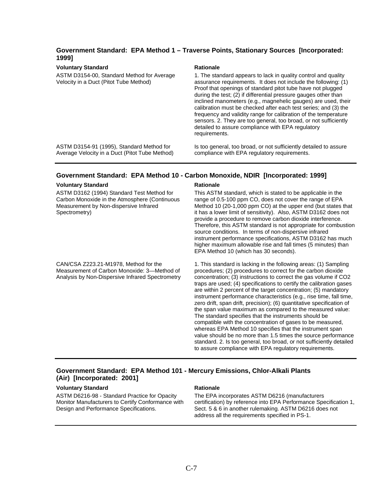### **Government Standard: EPA Method 1 – Traverse Points, Stationary Sources [Incorporated: 1999]**

#### **Voluntary Standard Rationale Rationale Rationale**

ASTM D3154-00, Standard Method for Average Velocity in a Duct (Pitot Tube Method)

1. The standard appears to lack in quality control and quality assurance requirements. It does not include the following: (1) Proof that openings of standard pitot tube have not plugged during the test; (2) if differential pressure gauges other than inclined manometers (e.g., magnehelic gauges) are used, their calibration must be checked after each test series; and (3) the frequency and validity range for calibration of the temperature sensors. 2. They are too general, too broad, or not sufficiently detailed to assure compliance with EPA regulatory requirements.

ASTM D3154-91 (1995), Standard Method for Average Velocity in a Duct (Pitot Tube Method)

#### Is too general, too broad, or not sufficiently detailed to assure compliance with EPA regulatory requirements.

#### **Government Standard: EPA Method 10 - Carbon Monoxide, NDIR [Incorporated: 1999]**

#### **Voluntary Standard Rationale Rationale Rationale**

ASTM D3162 (1994) Standard Test Method for Carbon Monoxide in the Atmosphere (Continuous Measurement by Non-dispersive Infrared Spectrometry)

This ASTM standard, which is stated to be applicable in the range of 0.5-100 ppm CO, does not cover the range of EPA Method 10 (20-1,000 ppm CO) at the upper end (but states that it has a lower limit of sensitivity). Also, ASTM D3162 does not provide a procedure to remove carbon dioxide interference. Therefore, this ASTM standard is not appropriate for combustion source conditions. In terms of non-dispersive infrared instrument performance specifications, ASTM D3162 has much higher maximum allowable rise and fall times (5 minutes) than EPA Method 10 (which has 30 seconds).

CAN/CSA Z223.21-M1978, Method for the Measurement of Carbon Monoxide: 3—Method of Analysis by Non-Dispersive Infrared Spectrometry

1. This standard is lacking in the following areas: (1) Sampling procedures; (2) procedures to correct for the carbon dioxide concentration; (3) instructions to correct the gas volume if CO2 traps are used; (4) specifications to certify the calibration gases are within 2 percent of the target concentration; (5) mandatory instrument performance characteristics (e.g., rise time, fall time, zero drift, span drift, precision); (6) quantitative specification of the span value maximum as compared to the measured value: The standard specifies that the instruments should be compatible with the concentration of gases to be measured, whereas EPA Method 10 specifies that the instrument span value should be no more than 1.5 times the source performance standard. 2. Is too general, too broad, or not sufficiently detailed to assure compliance with EPA regulatory requirements.

### **Government Standard: EPA Method 101 - Mercury Emissions, Chlor-Alkali Plants (Air) [Incorporated: 2001]**

#### **Voluntary Standard Mathematic Rationale Rationale**

ASTM D6216-98 - Standard Practice for Opacity Monitor Manufacturers to Certify Conformance with Design and Performance Specifications.

The EPA incorporates ASTM D6216 (manufacturers certification) by reference into EPA Performance Specification 1, Sect. 5 & 6 in another rulemaking. ASTM D6216 does not address all the requirements specified in PS-1.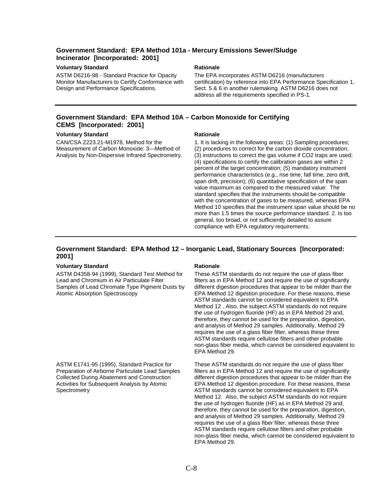### **Government Standard: EPA Method 101a - Mercury Emissions Sewer/Sludge Incinerator [Incorporated: 2001]**

#### **Voluntary Standard Rationale Rationale Rationale Rationale Rationale Rationale Rationale Rationale Rationale Rationale Rationale Rationale Rationale Rationale Rationale Rationale Rationale Rationale Rationale Rationale Ra**

ASTM D6216-98 - Standard Practice for Opacity Monitor Manufacturers to Certify Conformance with Design and Performance Specifications.

The EPA incorporates ASTM D6216 (manufacturers certification) by reference into EPA Performance Specification 1, Sect. 5 & 6 in another rulemaking. ASTM D6216 does not address all the requirements specified in PS-1.

### **Government Standard: EPA Method 10A – Carbon Monoxide for Certifying CEMS [Incorporated: 2001]**

#### **Voluntary Standard Mationale Rationale Rationale**

CAN/CSA Z223.21-M1978, Method for the Measurement of Carbon Monoxide: 3—Method of Analysis by Non-Dispersive Infrared Spectrometry.

1. It is lacking in the following areas: (1) Sampling procedures; (2) procedures to correct for the carbon dioxide concentration; (3) instructions to correct the gas volume if CO2 traps are used; (4) specifications to certify the calibration gases are within 2 percent of the target concentration; (5) mandatory instrument performance characteristics (e.g., rise time, fall time, zero drift, span drift, precision); (6) quantitative specification of the span value maximum as compared to the measured value: The standard specifies that the instruments should be compatible with the concentration of gases to be measured, whereas EPA Method 10 specifies that the instrument span value should be no more than 1.5 times the source performance standard. 2. Is too general, too broad, or not sufficiently detailed to assure compliance with EPA regulatory requirements.

#### **Government Standard: EPA Method 12 – Inorganic Lead, Stationary Sources [Incorporated: 2001]**

#### **Voluntary Standard Rationale Rationale Rationale**

ASTM D4358-94 (1999), Standard Test Method for Lead and Chromium in Air Particulate Filter Samples of Lead Chromate Type Pigment Dusts by Atomic Absorption Spectroscopy

ASTM E1741-95 (1995), Standard Practice for Preparation of Airborne Particulate Lead Samples Collected During Abatement and Construction Activities for Subsequent Analysis by Atomic **Spectrometry** 

These ASTM standards do not require the use of glass fiber filters as in EPA Method 12 and require the use of significantly different digestion procedures that appear to be milder than the EPA Method 12 digestion procedure. For these reasons, these ASTM standards cannot be considered equivalent to EPA Method 12 . Also, the subject ASTM standards do not require the use of hydrogen fluoride (HF) as in EPA Method 29 and, therefore, they cannot be used for the preparation, digestion, and analysis of Method 29 samples. Additionally, Method 29 requires the use of a glass fiber filter, whereas these three ASTM standards require cellulose filters and other probable non-glass fiber media, which cannot be considered equivalent to EPA Method 29.

These ASTM standards do not require the use of glass fiber filters as in EPA Method 12 and require the use of significantly different digestion procedures that appear to be milder than the EPA Method 12 digestion procedure. For these reasons, these ASTM standards cannot be considered equivalent to EPA Method 12. Also, the subject ASTM standards do not require the use of hydrogen fluoride (HF) as in EPA Method 29 and, therefore, they cannot be used for the preparation, digestion, and analysis of Method 29 samples. Additionally, Method 29 requires the use of a glass fiber filter, whereas these three ASTM standards require cellulose filters and other probable non-glass fiber media, which cannot be considered equivalent to EPA Method 29.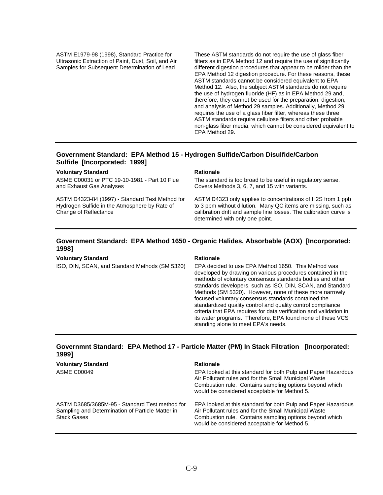ASTM E1979-98 (1998), Standard Practice for Ultrasonic Extraction of Paint, Dust, Soil, and Air Samples for Subsequent Determination of Lead

These ASTM standards do not require the use of glass fiber filters as in EPA Method 12 and require the use of significantly different digestion procedures that appear to be milder than the EPA Method 12 digestion procedure. For these reasons, these ASTM standards cannot be considered equivalent to EPA Method 12. Also, the subject ASTM standards do not require the use of hydrogen fluoride (HF) as in EPA Method 29 and, therefore, they cannot be used for the preparation, digestion, and analysis of Method 29 samples. Additionally, Method 29 requires the use of a glass fiber filter, whereas these three ASTM standards require cellulose filters and other probable non-glass fiber media, which cannot be considered equivalent to EPA Method 29.

### **Government Standard: EPA Method 15 - Hydrogen Sulfide/Carbon Disulfide/Carbon Sulfide [Incorporated: 1999]**

#### **Voluntary Standard Rationale Rationale Rationale**

ASME C00031 or PTC 19-10-1981 - Part 10 Flue and Exhaust Gas Analyses

ASTM D4323-84 (1997) - Standard Test Method for Hydrogen Sulfide in the Atmosphere by Rate of Change of Reflectance

The standard is too broad to be useful in regulatory sense. Covers Methods 3, 6, 7, and 15 with variants.

ASTM D4323 only applies to concentrations of H2S from 1 ppb to 3 ppm without dilution. Many QC items are missing, such as calibration drift and sample line losses. The calibration curve is determined with only one point.

#### **Government Standard: EPA Method 1650 - Organic Halides, Absorbable (AOX) [Incorporated: 1998]**

#### **Voluntary Standard Mathematic Property Rationale**

ISO, DIN, SCAN, and Standard Methods (SM 5320) EPA decided to use EPA Method 1650. This Method was developed by drawing on various procedures contained in the methods of voluntary consensus standards bodies and other standards developers, such as ISO, DIN, SCAN, and Standard Methods (SM 5320). However, none of these more narrowly focused voluntary consensus standards contained the standardized quality control and quality control compliance criteria that EPA requires for data verification and validation in its water programs. Therefore, EPA found none of these VCS standing alone to meet EPA's needs.

### **Governmnt Standard: EPA Method 17 - Particle Matter (PM) In Stack Filtration [Incorporated: 1999]**

| <b>Voluntary Standard</b><br><b>ASME C00049</b>                                                                          | <b>Rationale</b><br>EPA looked at this standard for both Pulp and Paper Hazardous<br>Air Pollutant rules and for the Small Municipal Waste<br>Combustion rule. Contains sampling options beyond which<br>would be considered acceptable for Method 5. |
|--------------------------------------------------------------------------------------------------------------------------|-------------------------------------------------------------------------------------------------------------------------------------------------------------------------------------------------------------------------------------------------------|
| ASTM D3685/3685M-95 - Standard Test method for<br>Sampling and Determination of Particle Matter in<br><b>Stack Gases</b> | EPA looked at this standard for both Pulp and Paper Hazardous<br>Air Pollutant rules and for the Small Municipal Waste<br>Combustion rule. Contains sampling options beyond which<br>would be considered acceptable for Method 5.                     |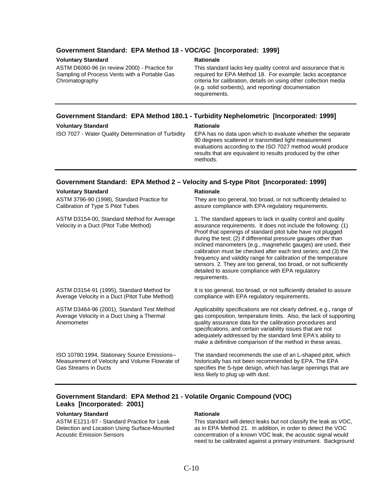#### **Government Standard: EPA Method 18 - VOC/GC [Incorporated: 1999]**

#### **Voluntary Standard Contract Contract Rationale Rationale**

ASTM D6060-96 (in review 2000) - Practice for Sampling of Process Vents with a Portable Gas Chromatography

This standard lacks key quality control and assurance that is required for EPA Method 18. For example: lacks acceptance criteria for calibration, details on using other collection media (e.g. solid sorbents), and reporting/ documentation requirements.

### **Government Standard: EPA Method 180.1 - Turbidity Nephelometric [Incorporated: 1999] Voluntary Standard Rationale Rationale Rationale**

ISO 7027 - Water Quality Determination of Turbidity EPA has no data upon which to evaluate whether the separate 90 degrees scattered or transmitted light measurement evaluations according to the ISO 7027 method would produce results that are equivalent to results produced by the other methods.

#### **Government Standard: EPA Method 2 – Velocity and S-type Pitot [Incorporated: 1999]**

#### **Voluntary Standard Communisty Communisty Rationale**

ASTM 3796-90 (1998), Standard Practice for Calibration of Type S Pitot Tubes They are too general, too broad, or not sufficiently detailed to assure compliance with EPA regulatory requirements. ASTM D3154-00, Standard Method for Average Velocity in a Duct (Pitot Tube Method) 1. The standard appears to lack in quality control and quality assurance requirements. It does not include the following: (1) Proof that openings of standard pitot tube have not plugged during the test; (2) if differential pressure gauges other than inclined manometers (e.g., magnehelic gauges) are used, their calibration must be checked after each test series; and (3) the frequency and validity range for calibration of the temperature sensors. 2. They are too general, too broad, or not sufficiently detailed to assure compliance with EPA regulatory requirements. ASTM D3154-91 (1995), Standard Method for Average Velocity in a Duct (Pitot Tube Method) It is too general, too broad, or not sufficiently detailed to assure compliance with EPA regulatory requirements. ASTM D3464-96 (2001), Standard Test Method Average Velocity in a Duct Using a Thermal Anemometer Applicability specifications are not clearly defined, e.g., range of gas composition, temperature limits. Also, the lack of supporting quality assurance data for the calibration procedures and specifications, and certain variability issues that are not adequately addressed by the standard limit EPA's ability to make a definitive comparison of the method in these areas. ISO 10780:1994, Stationary Source Emissions-- Measurement of Velocity and Volume Flowrate of Gas Streams in Ducts The standard recommends the use of an L-shaped pitot, which historically has not been recommended by EPA. The EPA specifies the S-type design, which has large openings that are less likely to plug up with dust.

### **Government Standard: EPA Method 21 - Volatile Organic Compound (VOC) Leaks [Incorporated: 2001]**

#### **Voluntary Standard Rationale Rationale Rationale**

ASTM E1211-97 - Standard Practice for Leak Detection and Location Using Surface-Mounted Acoustic Emission Sensors

This standard will detect leaks but not classify the leak as VOC, as in EPA Method 21. In addition, in order to detect the VOC concentration of a known VOC leak, the acoustic signal would need to be calibrated against a primary instrument. Background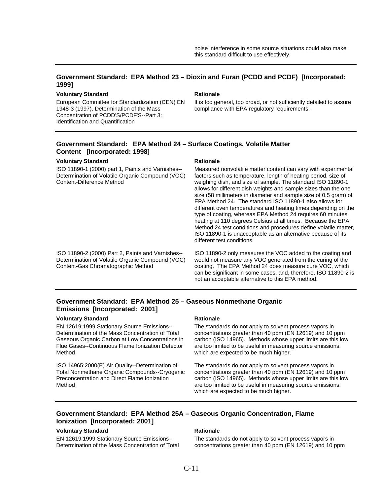#### **Government Standard: EPA Method 23 – Dioxin and Furan (PCDD and PCDF) [Incorporated: 1999]**

#### **Voluntary Standard Communisty Communisty Rationale**

European Committee for Standardization (CEN) EN 1948-3 (1997), Determination of the Mass Concentration of PCDD'S/PCDF'S--Part 3: Identification and Quantification

It is too general, too broad, or not sufficiently detailed to assure compliance with EPA regulatory requirements.

### **Government Standard: EPA Method 24 – Surface Coatings, Volatile Matter Content [Incorporated: 1998]**

#### **Voluntary Standard Mationale Rationale Rationale**

ISO 11890-1 (2000) part 1, Paints and Varnishes-- Determination of Volatile Organic Compound (VOC) Content-Difference Method

Measured nonvolatile matter content can vary with experimental factors such as temperature, length of heating period, size of weighing dish, and size of sample. The standard ISO 11890-1 allows for different dish weights and sample sizes than the one size (58 millimeters in diameter and sample size of 0.5 gram) of EPA Method 24. The standard ISO 11890-1 also allows for different oven temperatures and heating times depending on the type of coating, whereas EPA Method 24 requires 60 minutes heating at 110 degrees Celsius at all times. Because the EPA Method 24 test conditions and procedures define volatile matter, ISO 11890-1 is unacceptable as an alternative because of its different test conditions.

ISO 11890-2 (2000) Part 2, Paints and Varnishes-- Determination of Volatile Organic Compound (VOC) Content-Gas Chromatographic Method

ISO 11890-2 only measures the VOC added to the coating and would not measure any VOC generated from the curing of the coating. The EPA Method 24 does measure cure VOC, which can be significant in some cases, and, therefore, ISO 11890-2 is not an acceptable alternative to this EPA method.

### **Government Standard: EPA Method 25 – Gaseous Nonmethane Organic Emissions [Incorporated: 2001]**

#### **Voluntary Standard Rationale Rationale Rationale**

EN 12619:1999 Stationary Source Emissions-- Determination of the Mass Concentration of Total Gaseous Organic Carbon at Low Concentrations in Flue Gases--Continuous Flame Ionization Detector Method

ISO 14965:2000(E) Air Quality--Determination of Total Nonmethane Organic Compounds--Cryogenic Preconcentration and Direct Flame Ionization Method

The standards do not apply to solvent process vapors in concentrations greater than 40 ppm (EN 12619) and 10 ppm carbon (ISO 14965). Methods whose upper limits are this low are too limited to be useful in measuring source emissions, which are expected to be much higher.

The standards do not apply to solvent process vapors in concentrations greater than 40 ppm (EN 12619) and 10 ppm carbon (ISO 14965). Methods whose upper limits are this low are too limited to be useful in measuring source emissions, which are expected to be much higher.

### **Government Standard: EPA Method 25A – Gaseous Organic Concentration, Flame Ionization [Incorporated: 2001]**

### **Voluntary Standard Rationale Rationale Rationale**

EN 12619:1999 Stationary Source Emissions-- Determination of the Mass Concentration of Total

The standards do not apply to solvent process vapors in concentrations greater than 40 ppm (EN 12619) and 10 ppm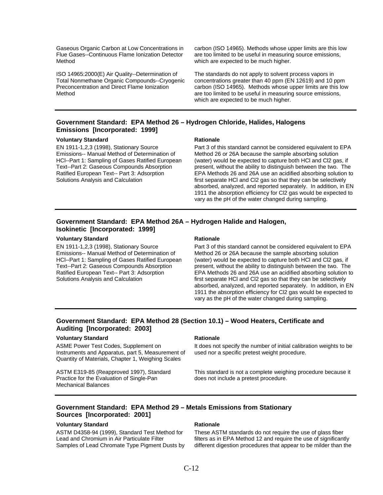Gaseous Organic Carbon at Low Concentrations in Flue Gases--Continuous Flame Ionization Detector Method

ISO 14965:2000(E) Air Quality--Determination of Total Nonmethane Organic Compounds--Cryogenic Preconcentration and Direct Flame Ionization Method

carbon (ISO 14965). Methods whose upper limits are this low are too limited to be useful in measuring source emissions, which are expected to be much higher.

The standards do not apply to solvent process vapors in concentrations greater than 40 ppm (EN 12619) and 10 ppm carbon (ISO 14965). Methods whose upper limits are this low are too limited to be useful in measuring source emissions, which are expected to be much higher.

### **Government Standard: EPA Method 26 – Hydrogen Chloride, Halides, Halogens Emissions [Incorporated: 1999]**

#### **Voluntary Standard Rationale Rationale Rationale**

EN 1911-1,2,3 (1998), Stationary Source Emissions-- Manual Method of Determination of HCl--Part 1: Sampling of Gases Ratified European Text--Part 2: Gaseous Compounds Absorption Ratified European Text-- Part 3: Adsorption Solutions Analysis and Calculation

Part 3 of this standard cannot be considered equivalent to EPA Method 26 or 26A because the sample absorbing solution (water) would be expected to capture both HCl and Cl2 gas, if present, without the ability to distinguish between the two. The EPA Methods 26 and 26A use an acidified absorbing solution to first separate HCl and Cl2 gas so that they can be selectively absorbed, analyzed, and reported separately. In addition, in EN 1911 the absorption efficiency for Cl2 gas would be expected to vary as the pH of the water changed during sampling.

### **Government Standard: EPA Method 26A – Hydrogen Halide and Halogen, Isokinetic [Incorporated: 1999]**

#### **Voluntary Standard Rationale Rationale Rationale**

EN 1911-1,2,3 (1998), Stationary Source Emissions-- Manual Method of Determination of HCl--Part 1: Sampling of Gases Ratified European Text--Part 2: Gaseous Compounds Absorption Ratified European Text-- Part 3: Adsorption Solutions Analysis and Calculation

Part 3 of this standard cannot be considered equivalent to EPA Method 26 or 26A because the sample absorbing solution (water) would be expected to capture both HCl and Cl2 gas, if present, without the ability to distinguish between the two. The EPA Methods 26 and 26A use an acidified absorbing solution to first separate HCl and Cl2 gas so that they can be selectively absorbed, analyzed, and reported separately. In addition, in EN 1911 the absorption efficiency for Cl2 gas would be expected to vary as the pH of the water changed during sampling.

### **Government Standard: EPA Method 28 (Section 10.1) – Wood Heaters, Certificate and Auditing [Incorporated: 2003]**

#### **Voluntary Standard Rationale Rationale Rationale**

ASME Power Test Codes, Supplement on Instruments and Apparatus, part 5, Measurement of Quantity of Materials, Chapter 1, Weighing Scales

ASTM E319-85 (Reapproved 1997), Standard Practice for the Evaluation of Single-Pan Mechanical Balances

It does not specify the number of initial calibration weights to be used nor a specific pretest weight procedure.

This standard is not a complete weighing procedure because it does not include a pretest procedure.

### **Government Standard: EPA Method 29 – Metals Emissions from Stationary Sources [Incorporated: 2001]**

#### **Voluntary Standard Rationale Rationale Rationale**

ASTM D4358-94 (1999), Standard Test Method for Lead and Chromium in Air Particulate Filter Samples of Lead Chromate Type Pigment Dusts by

These ASTM standards do not require the use of glass fiber filters as in EPA Method 12 and require the use of significantly different digestion procedures that appear to be milder than the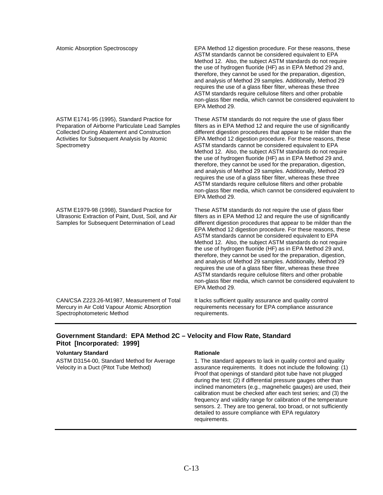ASTM E1741-95 (1995), Standard Practice for Preparation of Airborne Particulate Lead Samples Collected During Abatement and Construction Activities for Subsequent Analysis by Atomic **Spectrometry** 

ASTM E1979-98 (1998), Standard Practice for Ultrasonic Extraction of Paint, Dust, Soil, and Air Samples for Subsequent Determination of Lead

CAN/CSA Z223.26-M1987, Measurement of Total Mercury in Air Cold Vapour Atomic Absorption Spectrophotometeric Method

Atomic Absorption Spectroscopy EPA Method 12 digestion procedure. For these reasons, these ASTM standards cannot be considered equivalent to EPA Method 12. Also, the subject ASTM standards do not require the use of hydrogen fluoride (HF) as in EPA Method 29 and, therefore, they cannot be used for the preparation, digestion, and analysis of Method 29 samples. Additionally, Method 29 requires the use of a glass fiber filter, whereas these three ASTM standards require cellulose filters and other probable non-glass fiber media, which cannot be considered equivalent to EPA Method 29.

> These ASTM standards do not require the use of glass fiber filters as in EPA Method 12 and require the use of significantly different digestion procedures that appear to be milder than the EPA Method 12 digestion procedure. For these reasons, these ASTM standards cannot be considered equivalent to EPA Method 12. Also, the subject ASTM standards do not require the use of hydrogen fluoride (HF) as in EPA Method 29 and, therefore, they cannot be used for the preparation, digestion, and analysis of Method 29 samples. Additionally, Method 29 requires the use of a glass fiber filter, whereas these three ASTM standards require cellulose filters and other probable non-glass fiber media, which cannot be considered equivalent to EPA Method 29.

> These ASTM standards do not require the use of glass fiber filters as in EPA Method 12 and require the use of significantly different digestion procedures that appear to be milder than the EPA Method 12 digestion procedure. For these reasons, these ASTM standards cannot be considered equivalent to EPA Method 12. Also, the subject ASTM standards do not require the use of hydrogen fluoride (HF) as in EPA Method 29 and, therefore, they cannot be used for the preparation, digestion, and analysis of Method 29 samples. Additionally, Method 29 requires the use of a glass fiber filter, whereas these three ASTM standards require cellulose filters and other probable non-glass fiber media, which cannot be considered equivalent to EPA Method 29.

It lacks sufficient quality assurance and quality control requirements necessary for EPA compliance assurance requirements.

### **Government Standard: EPA Method 2C – Velocity and Flow Rate, Standard Pitot [Incorporated: 1999]**

#### **Voluntary Standard Rationale Rationale Rationale**

ASTM D3154-00, Standard Method for Average Velocity in a Duct (Pitot Tube Method)

1. The standard appears to lack in quality control and quality assurance requirements. It does not include the following: (1) Proof that openings of standard pitot tube have not plugged during the test; (2) if differential pressure gauges other than inclined manometers (e.g., magnehelic gauges) are used, their calibration must be checked after each test series; and (3) the frequency and validity range for calibration of the temperature sensors. 2. They are too general, too broad, or not sufficiently detailed to assure compliance with EPA regulatory requirements.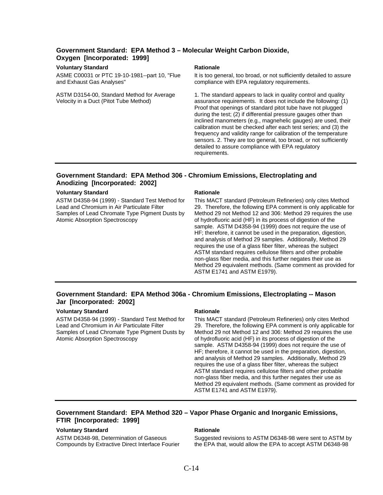### **Government Standard: EPA Method 3 – Molecular Weight Carbon Dioxide, Oxygen [Incorporated: 1999]**

#### **Voluntary Standard Rationale Rationale Rationale Rationale Rationale Rationale Rationale Rationale Rationale Rationale Rationale Rationale Rationale Rationale Rationale Rationale Rationale Rationale Rationale Rationale Ra**

ASME C00031 or PTC 19-10-1981--part 10, "Flue and Exhaust Gas Analyses"

ASTM D3154-00, Standard Method for Average Velocity in a Duct (Pitot Tube Method)

It is too general, too broad, or not sufficiently detailed to assure compliance with EPA regulatory requirements.

1. The standard appears to lack in quality control and quality assurance requirements. It does not include the following: (1) Proof that openings of standard pitot tube have not plugged during the test; (2) if differential pressure gauges other than inclined manometers (e.g., magnehelic gauges) are used, their calibration must be checked after each test series; and (3) the frequency and validity range for calibration of the temperature sensors. 2. They are too general, too broad, or not sufficiently detailed to assure compliance with EPA regulatory requirements.

### **Government Standard: EPA Method 306 - Chromium Emissions, Electroplating and Anodizing [Incorporated: 2002]**

#### **Voluntary Standard Mathematic Rationale Rationale**

ASTM D4358-94 (1999) - Standard Test Method for Lead and Chromium in Air Particulate Filter Samples of Lead Chromate Type Pigment Dusts by Atomic Absorption Spectroscopy

This MACT standard (Petroleum Refineries) only cites Method 29. Therefore, the following EPA comment is only applicable for Method 29 not Method 12 and 306: Method 29 requires the use of hydrofluoric acid (HF) in its process of digestion of the sample. ASTM D4358-94 (1999) does not require the use of HF; therefore, it cannot be used in the preparation, digestion, and analysis of Method 29 samples. Additionally, Method 29 requires the use of a glass fiber filter, whereas the subject ASTM standard requires cellulose filters and other probable non-glass fiber media, and this further negates their use as Method 29 equivalent methods. (Same comment as provided for ASTM E1741 and ASTM E1979).

#### **Government Standard: EPA Method 306a - Chromium Emissions, Electroplating -- Mason Jar [Incorporated: 2002]**

#### **Voluntary Standard Rationale Rationale Rationale**

ASTM D4358-94 (1999) - Standard Test Method for Lead and Chromium in Air Particulate Filter Samples of Lead Chromate Type Pigment Dusts by Atomic Absorption Spectroscopy

This MACT standard (Petroleum Refineries) only cites Method 29. Therefore, the following EPA comment is only applicable for Method 29 not Method 12 and 306: Method 29 requires the use of hydrofluoric acid (HF) in its process of digestion of the sample. ASTM D4358-94 (1999) does not require the use of HF; therefore, it cannot be used in the preparation, digestion, and analysis of Method 29 samples. Additionally, Method 29 requires the use of a glass fiber filter, whereas the subject ASTM standard requires cellulose filters and other probable non-glass fiber media, and this further negates their use as Method 29 equivalent methods. (Same comment as provided for ASTM E1741 and ASTM E1979).

### **Government Standard: EPA Method 320 – Vapor Phase Organic and Inorganic Emissions, FTIR [Incorporated: 1999]**

#### **Voluntary Standard Rationale Rationale Rationale**

ASTM D6348-98, Determination of Gaseous Compounds by Extractive Direct Interface Fourier

Suggested revisions to ASTM D6348-98 were sent to ASTM by the EPA that, would allow the EPA to accept ASTM D6348-98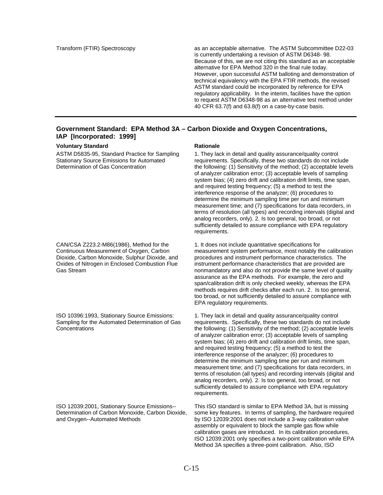Transform (FTIR) Spectroscopy as an acceptable alternative. The ASTM Subcommittee D22-03 is currently undertaking a revision of ASTM D6348- 98. Because of this, we are not citing this standard as an acceptable alternative for EPA Method 320 in the final rule today. However, upon successful ASTM balloting and demonstration of technical equivalency with the EPA FTIR methods, the revised ASTM standard could be incorporated by reference for EPA regulatory applicability. In the interim, facilities have the option to request ASTM D6348-98 as an alternative test method under 40 CFR 63.7(f) and 63.8(f) on a case-by-case basis.

### **Government Standard: EPA Method 3A – Carbon Dioxide and Oxygen Concentrations, IAP [Incorporated: 1999]**

#### **Voluntary Standard Rationale Rationale Rationale**

ASTM D5835-95, Standard Practice for Sampling Stationary Source Emissions for Automated Determination of Gas Concentration

CAN/CSA Z223.2-M86(1986), Method for the Continuous Measurement of Oxygen, Carbon Dioxide, Carbon Monoxide, Sulphur Dioxide, and Oxides of Nitrogen in Enclosed Combustion Flue Gas Stream

ISO 10396:1993, Stationary Source Emissions: Sampling for the Automated Determination of Gas Concentrations

ISO 12039:2001, Stationary Source Emissions-- Determination of Carbon Monoxide, Carbon Dioxide, and Oxygen--Automated Methods

1. They lack in detail and quality assurance/quality control requirements. Specifically, these two standards do not include the following: (1) Sensitivity of the method; (2) acceptable levels of analyzer calibration error; (3) acceptable levels of sampling system bias; (4) zero drift and calibration drift limits, time span, and required testing frequency; (5) a method to test the interference response of the analyzer; (6) procedures to determine the minimum sampling time per run and minimum measurement time; and (7) specifications for data recorders, in terms of resolution (all types) and recording intervals (digital and analog recorders, only). 2. Is too general, too broad, or not sufficiently detailed to assure compliance with EPA regulatory requirements.

1. It does not include quantitative specifications for measurement system performance, most notably the calibration procedures and instrument performance characteristics. The instrument performance characteristics that are provided are nonmandatory and also do not provide the same level of quality assurance as the EPA methods. For example, the zero and span/calibration drift is only checked weekly, whereas the EPA methods requires drift checks after each run. 2. Is too general, too broad, or not sufficiently detailed to assure compliance with EPA regulatory requirements.

1. They lack in detail and quality assurance/quality control requirements. Specifically, these two standards do not include the following: (1) Sensitivity of the method; (2) acceptable levels of analyzer calibration error; (3) acceptable levels of sampling system bias; (4) zero drift and calibration drift limits, time span, and required testing frequency; (5) a method to test the interference response of the analyzer; (6) procedures to determine the minimum sampling time per run and minimum measurement time; and (7) specifications for data recorders, in terms of resolution (all types) and recording intervals (digital and analog recorders, only). 2. Is too general, too broad, or not sufficiently detailed to assure compliance with EPA regulatory requirements.

This ISO standard is similar to EPA Method 3A, but is missing some key features. In terms of sampling, the hardware required by ISO 12039:2001 does not include a 3-way calibration valve assembly or equivalent to block the sample gas flow while calibration gases are introduced. In its calibration procedures, ISO 12039:2001 only specifies a two-point calibration while EPA Method 3A specifies a three-point calibration. Also, ISO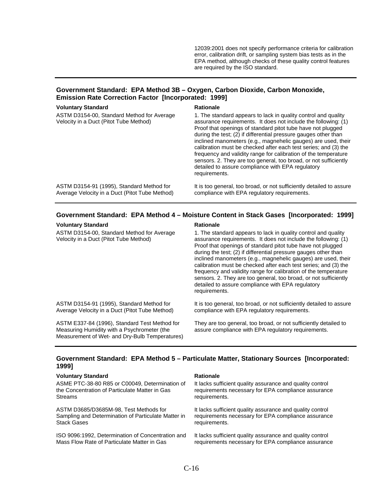12039:2001 does not specify performance criteria for calibration error, calibration drift, or sampling system bias tests as in the EPA method, although checks of these quality control features are required by the ISO standard.

### **Government Standard: EPA Method 3B – Oxygen, Carbon Dioxide, Carbon Monoxide, Emission Rate Correction Factor [Incorporated: 1999]**

| <b>Voluntary Standard</b>                                                                   | <b>Rationale</b>                                                                                                                                                                                                                                                                                                                                                                                                                                                                                                                                                                                                    |
|---------------------------------------------------------------------------------------------|---------------------------------------------------------------------------------------------------------------------------------------------------------------------------------------------------------------------------------------------------------------------------------------------------------------------------------------------------------------------------------------------------------------------------------------------------------------------------------------------------------------------------------------------------------------------------------------------------------------------|
| ASTM D3154-00, Standard Method for Average<br>Velocity in a Duct (Pitot Tube Method)        | 1. The standard appears to lack in quality control and quality<br>assurance requirements. It does not include the following: (1)<br>Proof that openings of standard pitot tube have not plugged<br>during the test; (2) if differential pressure gauges other than<br>inclined manometers (e.g., magnehelic gauges) are used, their<br>calibration must be checked after each test series; and (3) the<br>frequency and validity range for calibration of the temperature<br>sensors. 2. They are too general, too broad, or not sufficiently<br>detailed to assure compliance with EPA regulatory<br>requirements. |
| ASTM D3154-91 (1995), Standard Method for<br>Average Velocity in a Duct (Pitot Tube Method) | It is too general, too broad, or not sufficiently detailed to assure<br>compliance with EPA regulatory requirements.                                                                                                                                                                                                                                                                                                                                                                                                                                                                                                |

### **Government Standard: EPA Method 4 – Moisture Content in Stack Gases [Incorporated: 1999]**

#### **Voluntary Standard Rationale Rationale Rationale**

ASTM D3154-00, Standard Method for Average Velocity in a Duct (Pitot Tube Method)

1. The standard appears to lack in quality control and quality assurance requirements. It does not include the following: (1) Proof that openings of standard pitot tube have not plugged during the test; (2) if differential pressure gauges other than inclined manometers (e.g., magnehelic gauges) are used, their calibration must be checked after each test series; and (3) the frequency and validity range for calibration of the temperature sensors. 2. They are too general, too broad, or not sufficiently detailed to assure compliance with EPA regulatory requirements.

ASTM D3154-91 (1995), Standard Method for Average Velocity in a Duct (Pitot Tube Method)

ASTM E337-84 (1996), Standard Test Method for Measuring Humidity with a Psychrometer (the Measurement of Wet- and Dry-Bulb Temperatures) compliance with EPA regulatory requirements.

It is too general, too broad, or not sufficiently detailed to assure

They are too general, too broad, or not sufficiently detailed to assure compliance with EPA regulatory requirements.

### **Government Standard: EPA Method 5 – Particulate Matter, Stationary Sources [Incorporated: 1999]**

#### **Voluntary Standard Rationale Rationale Rationale**

ASME PTC-38-80 R85 or C00049, Determination of the Concentration of Particulate Matter in Gas Streams

ASTM D3685/D3685M-98, Test Methods for Sampling and Determination of Particulate Matter in Stack Gases

ISO 9096:1992, Determination of Concentration and Mass Flow Rate of Particulate Matter in Gas

It lacks sufficient quality assurance and quality control requirements necessary for EPA compliance assurance requirements.

It lacks sufficient quality assurance and quality control requirements necessary for EPA compliance assurance requirements.

It lacks sufficient quality assurance and quality control requirements necessary for EPA compliance assurance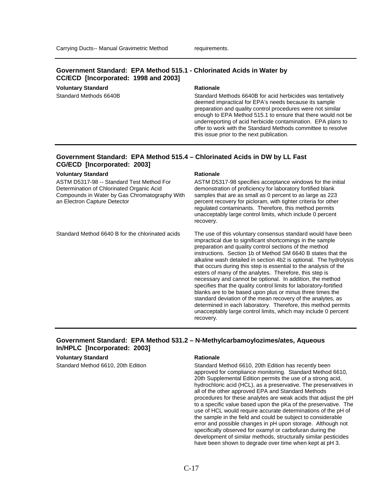### **Government Standard: EPA Method 515.1 - Chlorinated Acids in Water by CC/ECD [Incorporated: 1998 and 2003]**

**Voluntary Standard Rationale Rationale Rationale** 

Standard Methods 6640B Standard Methods 6640B for acid herbicides was tentatively deemed impractical for EPA's needs because its sample preparation and quality control procedures were not similar enough to EPA Method 515.1 to ensure that there would not be underreporting of acid herbicide contamination. EPA plans to offer to work with the Standard Methods committee to resolve this issue prior to the next publication.

#### **Government Standard: EPA Method 515.4 – Chlorinated Acids in DW by LL Fast CG/ECD [Incorporated: 2003]**

#### **Voluntary Standard Rationale Rationale Rationale**

ASTM D5317-98 -- Standard Test Method For Determination of Chlorinated Organic Acid Compounds in Water by Gas Chromatography With an Electron Capture Detector

ASTM D5317-98 specifies acceptance windows for the initial demonstration of proficiency for laboratory fortified blank samples that are as small as 0 percent to as large as 223 percent recovery for picloram, with tighter criteria for other regulated contaminants. Therefore, this method permits unacceptably large control limits, which include 0 percent recovery.

Standard Method 6640 B for the chlorinated acids The use of this voluntary consensus standard would have been impractical due to significant shortcomings in the sample preparation and quality control sections of the method instructions. Section 1b of Method SM 6640 B states that the alkaline wash detailed in section 4b2 is optional. The hydrolysis that occurs during this step is essential to the analysis of the esters of many of the analytes. Therefore, this step is necessary and cannot be optional. In addition, the method specifies that the quality control limits for laboratory-fortified blanks are to be based upon plus or minus three times the standard deviation of the mean recovery of the analytes, as determined in each laboratory. Therefore, this method permits unacceptably large control limits, which may include 0 percent recovery.

### **Government Standard: EPA Method 531.2 – N-Methylcarbamoylozimes/ates, Aqueous In/HPLC [Incorporated: 2003]**

### **Voluntary Standard Rationale Rationale Rationale**

Standard Method 6610, 20th Edition Standard Method 6610, 20th Edition has recently been approved for compliance monitoring. Standard Method 6610, 20th Supplemental Edition permits the use of a strong acid, hydrochloric acid (HCL), as a preservative. The preservatives in all of the other approved EPA and Standard Methods procedures for these analytes are weak acids that adjust the pH to a specific value based upon the pKa of the preservative. The use of HCL would require accurate determinations of the pH of the sample in the field and could be subject to considerable error and possible changes in pH upon storage. Although not specifically observed for oxamyl or carbofuran during the development of similar methods, structurally similar pesticides have been shown to degrade over time when kept at pH 3.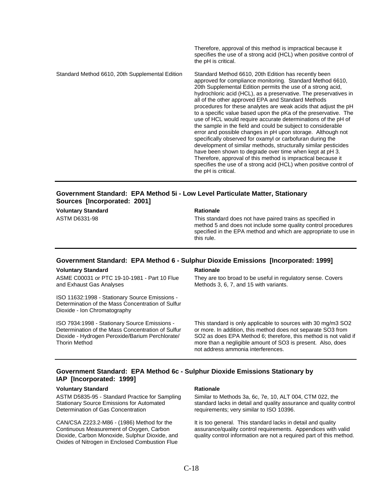the pH is critical. Standard Method 6610, 20th Supplemental Edition Standard Method 6610, 20th Edition has recently been approved for compliance monitoring. Standard Method 6610, 20th Supplemental Edition permits the use of a strong acid, hydrochloric acid (HCL), as a preservative. The preservatives in all of the other approved EPA and Standard Methods procedures for these analytes are weak acids that adjust the pH to a specific value based upon the pKa of the preservative. The use of HCL would require accurate determinations of the pH of the sample in the field and could be subject to considerable error and possible changes in pH upon storage. Although not specifically observed for oxamyl or carbofuran during the development of similar methods, structurally similar pesticides have been shown to degrade over time when kept at pH 3. Therefore, approval of this method is impractical because it specifies the use of a strong acid (HCL) when positive control of the pH is critical.

### **Government Standard: EPA Method 5i - Low Level Particulate Matter, Stationary Sources [Incorporated: 2001]**

**Voluntary Standard Rationale Rationale Rationale** 

ASTM D6331-98 This standard does not have paired trains as specified in method 5 and does not include some quality control procedures specified in the EPA method and which are appropriate to use in this rule.

Therefore, approval of this method is impractical because it specifies the use of a strong acid (HCL) when positive control of

#### **Government Standard: EPA Method 6 - Sulphur Dioxide Emissions [Incorporated: 1999]**

#### **Voluntary Standard Rationale Rationale Rationale**

ASME C00031 or PTC 19-10-1981 - Part 10 Flue and Exhaust Gas Analyses

ISO 11632:1998 - Stationary Source Emissions - Determination of the Mass Concentration of Sulfur Dioxide - Ion Chromatography

ISO 7934:1998 - Stationary Source Emissions - Determination of the Mass Concentration of Sulfur Dioxide - Hydrogen Peroxide/Barium Perchlorate/ Thorin Method

They are too broad to be useful in regulatory sense. Covers Methods 3, 6, 7, and 15 with variants.

This standard is only applicable to sources with 30 mg/m3 SO2 or more. In addition, this method does not separate SO3 from SO2 as does EPA Method 6; therefore, this method is not valid if more than a negligible amount of SO3 is present. Also, does not address ammonia interferences.

### **Government Standard: EPA Method 6c - Sulphur Dioxide Emissions Stationary by IAP [Incorporated: 1999]**

#### **Voluntary Standard Rationale Rationale Rationale**

ASTM D5835-95 - Standard Practice for Sampling Stationary Source Emissions for Automated Determination of Gas Concentration

CAN/CSA Z223.2-M86 - (1986) Method for the Continuous Measurement of Oxygen, Carbon Dioxide, Carbon Monoxide, Sulphur Dioxide, and Oxides of Nitrogen in Enclosed Combustion Flue

Similar to Methods 3a, 6c, 7e, 10, ALT 004, CTM 022, the standard lacks in detail and quality assurance and quality control requirements; very similar to ISO 10396.

It is too general. This standard lacks in detail and quality assurance/quality control requirements. Appendices with valid quality control information are not a required part of this method.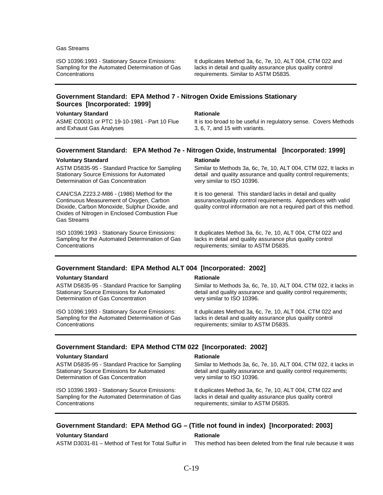#### Gas Streams

ISO 10396:1993 - Stationary Source Emissions: Sampling for the Automated Determination of Gas **Concentrations** 

It duplicates Method 3a, 6c, 7e, 10, ALT 004, CTM 022 and lacks in detail and quality assurance plus quality control requirements. Similar to ASTM D5835.

#### **Government Standard: EPA Method 7 - Nitrogen Oxide Emissions Stationary Sources [Incorporated: 1999]**

#### **Voluntary Standard Rationale Rationale Rationale**

ASME C00031 or PTC 19-10-1981 - Part 10 Flue and Exhaust Gas Analyses

It is too broad to be useful in regulatory sense. Covers Methods 3, 6, 7, and 15 with variants.

#### **Government Standard: EPA Method 7e - Nitrogen Oxide, Instrumental [Incorporated: 1999]**

#### **Voluntary Standard Rationale Rationale Rationale**

ASTM D5835-95 - Standard Practice for Sampling Stationary Source Emissions for Automated Determination of Gas Concentration

CAN/CSA Z223.2-M86 - (1986) Method for the Continuous Measurement of Oxygen, Carbon Dioxide, Carbon Monoxide, Sulphur Dioxide, and Oxides of Nitrogen in Enclosed Combustion Flue Gas Streams

ISO 10396:1993 - Stationary Source Emissions: Sampling for the Automated Determination of Gas **Concentrations** 

Similar to Methods 3a, 6c, 7e, 10, ALT 004, CTM 022, It lacks in detail and quality assurance and quality control requirements; very similar to ISO 10396.

It is too general. This standard lacks in detail and quality assurance/quality control requirements. Appendices with valid quality control information are not a required part of this method.

It duplicates Method 3a, 6c, 7e, 10, ALT 004, CTM 022 and lacks in detail and quality assurance plus quality control requirements; similar to ASTM D5835.

### **Government Standard: EPA Method ALT 004 [Incorporated: 2002]**

#### **Voluntary Standard Rationale Rationale Rationale**

ASTM D5835-95 - Standard Practice for Sampling Stationary Source Emissions for Automated Determination of Gas Concentration

ISO 10396:1993 - Stationary Source Emissions: Sampling for the Automated Determination of Gas Concentrations

Similar to Methods 3a, 6c, 7e, 10, ALT 004, CTM 022, it lacks in detail and quality assurance and quality control requirements; very similar to ISO 10396.

It duplicates Method 3a, 6c, 7e, 10, ALT 004, CTM 022 and lacks in detail and quality assurance plus quality control requirements; similar to ASTM D5835.

#### **Government Standard: EPA Method CTM 022 [Incorporated: 2002]**

#### **Voluntary Standard Rationale Rationale Rationale**

ASTM D5835-95 - Standard Practice for Sampling Stationary Source Emissions for Automated Determination of Gas Concentration

ISO 10396:1993 - Stationary Source Emissions: Sampling for the Automated Determination of Gas **Concentrations** 

Similar to Methods 3a, 6c, 7e, 10, ALT 004, CTM 022, it lacks in detail and quality assurance and quality control requirements; very similar to ISO 10396.

It duplicates Method 3a, 6c, 7e, 10, ALT 004, CTM 022 and lacks in detail and quality assurance plus quality control requirements; similar to ASTM D5835.

#### **Government Standard: EPA Method GG – (Title not found in index) [Incorporated: 2003]**

#### **Voluntary Standard Rationale Rationale Rationale**

ASTM D3031-81 – Method of Test for Total Sulfur in This method has been deleted from the final rule because it was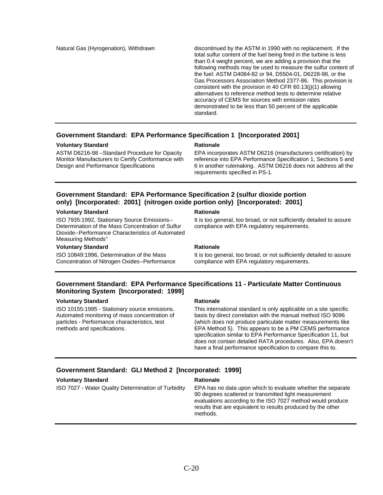Natural Gas (Hyrogenation), Withdrawn discontinued by the ASTM in 1990 with no replacement. If the total sulfur content of the fuel being fired in the turbine is less than 0.4 weight percent, we are adding a provision that the following methods may be used to measure the sulfur content of the fuel: ASTM D4084-82 or 94, D5504-01, D6228-98, or the Gas Processors Association Method 2377-86. This provision is consistent with the provision in 40 CFR 60.13(j)(1) allowing alternatives to reference method tests to determine relative accuracy of CEMS for sources with emission rates demonstrated to be less than 50 percent of the applicable standard.

### **Government Standard: EPA Performance Specification 1 [Incorporated 2001]**

#### **Voluntary Standard Rationale Rationale Rationale**

ASTM D6216-98 –Standard Procedure for Opacity Monitor Manufacturers to Certify Conformance with Design and Performance Specifications

EPA incorporates ASTM D6216 (manufacturers certification) by reference into EPA Performance Specification 1, Sections 5 and 6 in another rulemaking. ASTM D6216 does not address all the requirements specified in PS-1.

### **Government Standard: EPA Performance Specification 2 (sulfur dioxide portion only) [Incorporated: 2001] (nitrogen oxide portion only) [Incorporated: 2001]**

#### **Voluntary Standard Rationale Rationale Rationale**

ISO 7935:1992, Stationary Source Emissions-- Determination of the Mass Concentration of Sulfur Dioxide--Performance Characteristics of Automated Measuring Methods"

#### **Voluntary Standard Mathematic Rationale Rationale**

ISO 10849:1996, Determination of the Mass Concentration of Nitrogen Oxides--Performance

It is too general, too broad, or not sufficiently detailed to assure compliance with EPA regulatory requirements.

It is too general, too broad, or not sufficiently detailed to assure compliance with EPA regulatory requirements.

### **Government Standard: EPA Performance Specifications 11 - Particulate Matter Continuous Monitoring System [Incorporated: 1999]**

#### **Voluntary Standard Rationale Rationale Rationale**

ISO 10155:1995 - Stationary source emissions. Automated monitoring of mass concentration of particles - Performance characteristics, test methods and specifications.

This international standard is only applicable on a site specific basis by direct correlation with the manual method ISO 9096 (which does not produce particulate matter measurements like EPA Method 5). This appears to be a PM CEMS performance specification similar to EPA Performance Specification 11, but does not contain detailed RATA procedures. Also, EPA doesn't have a final performance specification to compare this to.

#### **Government Standard: GLI Method 2 [Incorporated: 1999]**

#### **Voluntary Standard Rationale Rationale Rationale**

ISO 7027 - Water Quality Determination of Turbidity EPA has no data upon which to evaluate whether the separate 90 degrees scattered or transmitted light measurement evaluations according to the ISO 7027 method would produce results that are equivalent to results produced by the other methods.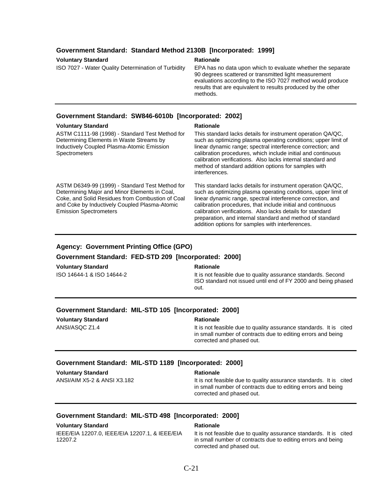### **Government Standard: Standard Method 2130B [Incorporated: 1999]**

#### **Rationale**

ISO 7027 - Water Quality Determination of Turbidity EPA has no data upon which to evaluate whether the separate 90 degrees scattered or transmitted light measurement evaluations according to the ISO 7027 method would produce results that are equivalent to results produced by the other methods.

### **Government Standard: SW846-6010b [Incorporated: 2002]**

### **Voluntary Standard Mationale Rationale Rationale**

| ASTM C1111-98 (1998) - Standard Test Method for<br>Determining Elements in Waste Streams by<br>Inductively Coupled Plasma-Atomic Emission<br><b>Spectrometers</b>                                                                      | This standard lacks details for instrument operation QA/QC,<br>such as optimizing plasma operating conditions; upper limit of<br>linear dynamic range; spectral interference correction; and<br>calibration procedures, which include initial and continuous<br>calibration verifications. Also lacks internal standard and<br>method of standard addition options for samples with<br>interferences.                                      |
|----------------------------------------------------------------------------------------------------------------------------------------------------------------------------------------------------------------------------------------|--------------------------------------------------------------------------------------------------------------------------------------------------------------------------------------------------------------------------------------------------------------------------------------------------------------------------------------------------------------------------------------------------------------------------------------------|
| ASTM D6349-99 (1999) - Standard Test Method for<br>Determining Major and Minor Elements in Coal,<br>Coke, and Solid Residues from Combustion of Coal<br>and Coke by Inductively Coupled Plasma-Atomic<br><b>Emission Spectrometers</b> | This standard lacks details for instrument operation QA/QC,<br>such as optimizing plasma operating conditions, upper limit of<br>linear dynamic range, spectral interference correction, and<br>calibration procedures, that include initial and continuous<br>calibration verifications. Also lacks details for standard<br>preparation, and internal standard and method of standard<br>addition options for samples with interferences. |

### **Agency: Government Printing Office (GPO)**

### **Government Standard: FED-STD 209 [Incorporated: 2000]**

#### **Voluntary Standard Rationale Rationale Rationale**

ISO 14644-1 & ISO 14644-2 It is not feasible due to quality assurance standards. Second ISO standard not issued until end of FY 2000 and being phased out.

### **Government Standard: MIL-STD 105 [Incorporated: 2000]**

**Voluntary Standard Mationale Rationale Rationale** 

ANSI/ASQC Z1.4 **It is not feasible due to quality assurance standards.** It is cited in small number of contracts due to editing errors and being corrected and phased out.

### **Government Standard: MIL-STD 1189 [Incorporated: 2000]**

| <b>Voluntary Standard</b>   | <b>Rationale</b>                                                                                                                                                |
|-----------------------------|-----------------------------------------------------------------------------------------------------------------------------------------------------------------|
| ANSI/AIM X5-2 & ANSI X3.182 | It is not feasible due to quality assurance standards. It is cited<br>in small number of contracts due to editing errors and being<br>corrected and phased out. |

#### **Government Standard: MIL-STD 498 [Incorporated: 2000]**

| <b>Voluntary Standard</b>                                 | <b>Rationale</b>                                                                                                                   |
|-----------------------------------------------------------|------------------------------------------------------------------------------------------------------------------------------------|
| IEEE/EIA 12207.0. IEEE/EIA 12207.1. & IEEE/EIA<br>12207.2 | It is not feasible due to quality assurance standards. It is cited<br>in small number of contracts due to editing errors and being |
|                                                           | corrected and phased out.                                                                                                          |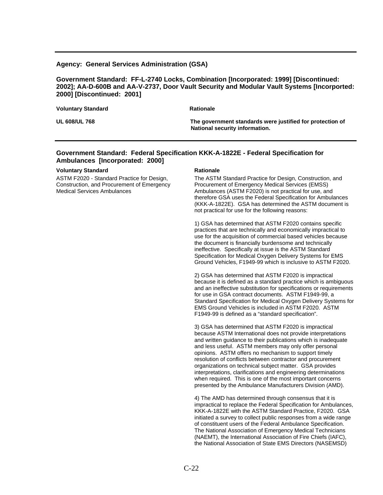#### **Agency: General Services Administration (GSA)**

### **Government Standard: FF-L-2740 Locks, Combination [Incorporated: 1999] [Discontinued: 2002]; AA-D-600B and AA-V-2737, Door Vault Security and Modular Vault Systems [Incorported: 2000] [Discontinued: 2001]**

| <b>Voluntary Standard</b> | <b>Rationale</b>                                                                            |
|---------------------------|---------------------------------------------------------------------------------------------|
| <b>UL 608/UL 768</b>      | The government standards were justified for protection of<br>National security information. |

### **Government Standard: Federal Specification KKK-A-1822E - Federal Specification for Ambulances [Incorporated: 2000]**

#### **Voluntary Standard Rationale Rationale Rationale**

ASTM F2020 - Standard Practice for Design, Construction, and Procurement of Emergency Medical Services Ambulances

The ASTM Standard Practice for Design, Construction, and Procurement of Emergency Medical Services (EMSS) Ambulances (ASTM F2020) is not practical for use, and therefore GSA uses the Federal Specification for Ambulances (KKK-A-1822E). GSA has determined the ASTM document is not practical for use for the following reasons:

1) GSA has determined that ASTM F2020 contains specific practices that are technically and economically impractical to use for the acquisition of commercial based vehicles because the document is financially burdensome and technically ineffective. Specifically at issue is the ASTM Standard Specification for Medical Oxygen Delivery Systems for EMS Ground Vehicles, F1949-99 which is inclusive to ASTM F2020.

2) GSA has determined that ASTM F2020 is impractical because it is defined as a standard practice which is ambiguous and an ineffective substitution for specifications or requirements for use in GSA contract documents. ASTM F1949-99, a Standard Specification for Medical Oxygen Delivery Systems for EMS Ground Vehicles is included in ASTM F2020. ASTM F1949-99 is defined as a "standard specification".

3) GSA has determined that ASTM F2020 is impractical because ASTM International does not provide interpretations and written guidance to their publications which is inadequate and less useful. ASTM members may only offer personal opinions. ASTM offers no mechanism to support timely resolution of conflicts between contractor and procurement organizations on technical subject matter. GSA provides interpretations, clarifications and engineering determinations when required. This is one of the most important concerns presented by the Ambulance Manufacturers Division (AMD).

4) The AMD has determined through consensus that it is impractical to replace the Federal Specification for Ambulances, KKK-A-1822E with the ASTM Standard Practice, F2020. GSA initiated a survey to collect public responses from a wide range of constituent users of the Federal Ambulance Specification. The National Association of Emergency Medical Technicians (NAEMT), the International Association of Fire Chiefs (IAFC), the National Association of State EMS Directors (NASEMSD)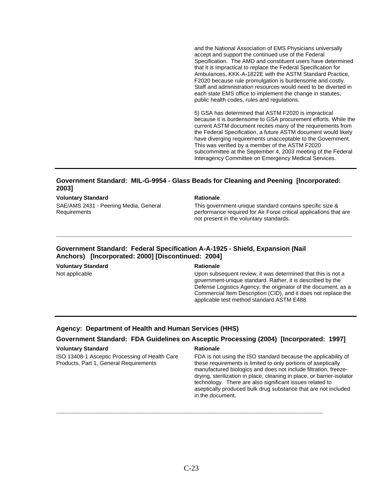and the National Association of EMS Physicians universally accept and support the continued use of the Federal Specification. The AMD and constituent users have determined that it is impractical to replace the Federal Specification for Ambulances, KKK-A-1822E with the ASTM Standard Practice, F2020 because rule promulgation is burdensome and costly. Staff and administration resources would need to be diverted in each state EMS office to implement the change in statutes, public health codes, rules and regulations.

5) GSA has determined that ASTM F2020 is impractical because it is burdensome to GSA procurement efforts. While the current ASTM document recites many of the requirements from the Federal Specification, a future ASTM document would likely have diverging requirements unacceptable to the Government. This was verified by a member of the ASTM F2020 subcommittee at the September 4, 2003 meeting of the Federal Interagency Committee on Emergency Medical Services.

### **Government Standard: MIL-G-9954 - Glass Beads for Cleaning and Peening [Incorporated: 2003]**

#### **Voluntary Standard Rationale Rationale Rationale**

SAE/AMS 2431 - Peening Media, General Requirements

This government-unique standard contains specific size & performance required for Air Force critical applications that are not present in the voluntary standards.

### **Government Standard: Federal Specification A-A-1925 - Shield, Expansion (Nail Anchors) [Incorporated: 2000] [Discontinued: 2004]**

**Voluntary Standard Rationale Rationale Rationale** 

**\_\_\_\_\_\_\_\_\_\_\_\_\_\_\_\_\_\_\_\_\_\_\_\_\_\_\_\_\_\_\_\_\_\_\_\_\_\_\_\_\_\_\_\_\_\_\_\_\_\_\_\_\_\_\_\_\_\_\_\_\_\_\_\_\_\_\_\_\_\_\_\_\_\_\_\_\_\_\_\_\_** 

Not applicable Upon subsequent review, it was determined that this is not a government-unique standard. Rather, it is described by the Defense Logistics Agency, the originator of the document, as a Commercial Item Description (CID), and it does not replace the applicable test method standard ASTM E488.

#### **Agency: Department of Health and Human Services (HHS)**

### **Government Standard: FDA Guidelines on Asceptic Processing (2004) [Incorporated: 1997]**

#### **Voluntary Standard Rationale Rationale Rationale**

ISO 13408-1 Asceptic Processing of Health Care Products, Part 1, General Requirements

FDA is not using the ISO standard because the applicability of these requirements is limited to only portions of aseptically manufactured biologics and does not include filtration, freezedrying, sterilization in place, cleaning in place, or barrier-isolator technology. There are also significant issues related to aseptically produced bulk drug substance that are not included in the document.

**\_\_\_\_\_\_\_\_\_\_\_\_\_\_\_\_\_\_\_\_\_\_\_\_\_\_\_\_\_\_\_\_\_\_\_\_\_\_\_\_\_\_\_\_\_\_\_\_\_\_\_\_\_\_\_\_\_\_\_\_\_\_\_\_\_\_\_\_\_\_\_\_\_**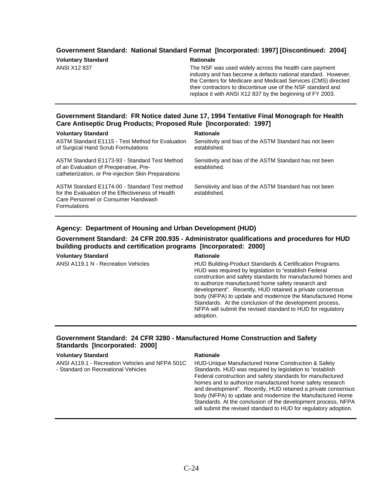### **Government Standard: National Standard Format [Incorporated: 1997] [Discontinued: 2004]**

| <b>Voluntary Standard</b> |  |
|---------------------------|--|
| <b>ANSI X12 837</b>       |  |
|                           |  |

#### **Rationale**

The NSF was used widely across the health care payment industry and has become a defacto national standard. However, the Centers for Medicare and Medicaid Services (CMS) directed their contractors to discontinue use of the NSF standard and replace it with ANSI X12 837 by the beginning of FY 2003.

### **Government Standard: FR Notice dated June 17, 1994 Tentative Final Monograph for Health Care Antiseptic Drug Products; Proposed Rule [Incorporated: 1997]**

#### **Voluntary Standard Rationale Rationale Rationale**

ASTM Standard E1115 - Test Method for Evaluation of Surgical Hand Scrub Formulations

ASTM Standard E1173-93 - Standard Test Method of an Evaluation of Preoperative, Precatheterization, or Pre-injection Skin Preparations

ASTM Standard E1174-00 - Standard Test method for the Evaluation of the Effectiveness of Health Care Personnel or Consumer Handwash Formulations

Sensitivity and bias of the ASTM Standard has not been established.

Sensitivity and bias of the ASTM Standard has not been established.

Sensitivity and bias of the ASTM Standard has not been established.

#### **Agency: Department of Housing and Urban Development (HUD)**

### **Government Standard: 24 CFR 200.935 - Administrator qualifications and procedures for HUD building products and certification programs [Incorporated: 2000]**

#### **Voluntary Standard Communisty Communisty Rationale**

ANSI A119.1 N - Recreation Vehicles HUD Building-Product Standards & Certification Programs. HUD was required by legislation to "establish Federal construction and safety standards for manufactured homes and to authorize manufactured home safety research and development". Recently, HUD retained a private consensus body (NFPA) to update and modernize the Manufactured Home Standards. At the conclusion of the development process, NFPA will submit the revised standard to HUD for regulatory adoption.

> Standards. At the conclusion of the development process, NFPA will submit the revised standard to HUD for regulatory adoption.

#### **Government Standard: 24 CFR 3280 - Manufactured Home Construction and Safety Standards [Incorporated: 2000]**

#### **Voluntary Standard Rationale Rationale Rationale**

ANSI A119.1 - Recreation Vehicles and NFPA 501C - Standard on Recreational Vehicles HUD-Unique Manufactured Home Construction & Safety Standards. HUD was required by legislation to "establish Federal construction and safety standards for manufactured homes and to authorize manufactured home safety research and development". Recently, HUD retained a private consensus body (NFPA) to update and modernize the Manufactured Home